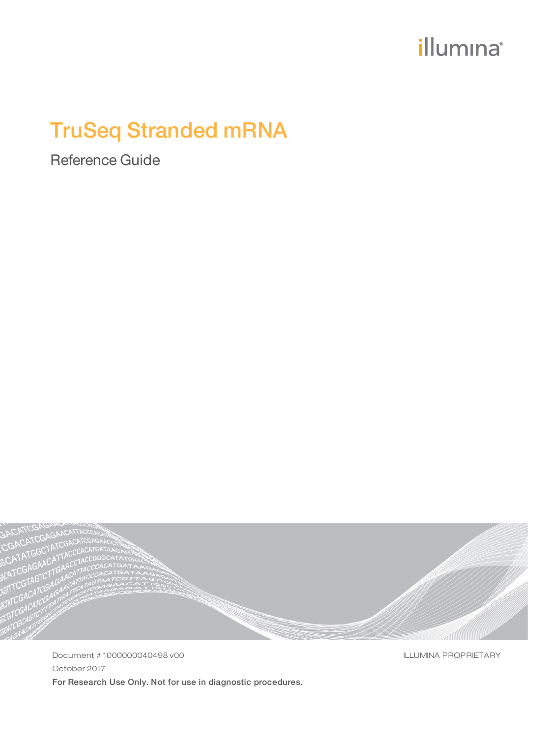# illumina®

# TruSeq Stranded mRNA

Reference Guide



Document # 1000000040498 v00 October 2017 For Research Use Only. Not for use in diagnostic procedures. ILLUMINA PROPRIETARY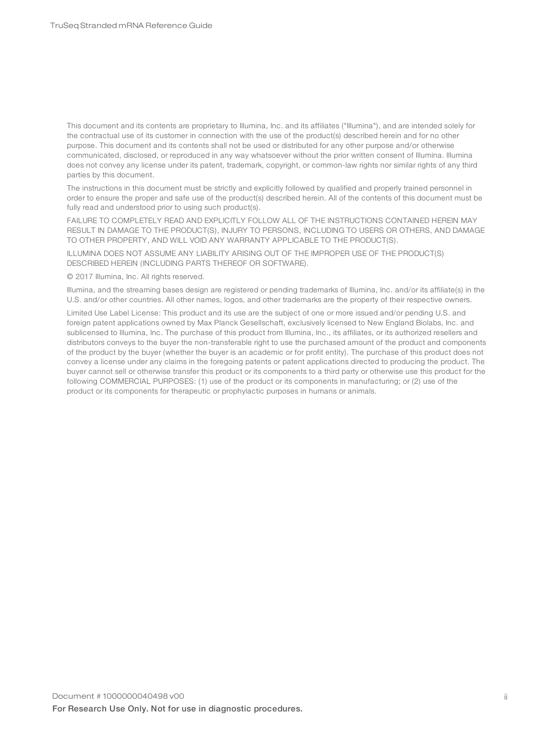This document and its contents are proprietary to Illumina, Inc. and its affiliates ("Illumina"), and are intended solely for the contractual use of its customer in connection with the use of the product(s) described herein and for no other purpose. This document and its contents shall not be used or distributed for any other purpose and/or otherwise communicated, disclosed, or reproduced in any way whatsoever without the prior written consent of Illumina. Illumina does not convey any license under its patent, trademark, copyright, or common-law rights nor similar rights of any third parties by this document.

The instructions in this document must be strictly and explicitly followed by qualified and properly trained personnel in order to ensure the proper and safe use of the product(s) described herein. All of the contents of this document must be fully read and understood prior to using such product(s).

FAILURE TO COMPLETELY READ AND EXPLICITLY FOLLOW ALL OF THE INSTRUCTIONS CONTAINED HEREIN MAY RESULT IN DAMAGE TO THE PRODUCT(S), INJURY TO PERSONS, INCLUDING TO USERS OR OTHERS, AND DAMAGE TO OTHER PROPERTY, AND WILL VOID ANY WARRANTY APPLICABLE TO THE PRODUCT(S).

ILLUMINA DOES NOT ASSUME ANY LIABILITY ARISING OUT OF THE IMPROPER USE OF THE PRODUCT(S) DESCRIBED HEREIN (INCLUDING PARTS THEREOF OR SOFTWARE).

© 2017 Illumina, Inc. All rights reserved.

Illumina, and the streaming bases design are registered or pending trademarks of Illumina, Inc. and/or its affiliate(s) in the U.S. and/or other countries. All other names, logos, and other trademarks are the property of their respective owners.

Limited Use Label License: This product and its use are the subject of one or more issued and/or pending U.S. and foreign patent applications owned by Max Planck Gesellschaft, exclusively licensed to New England Biolabs, Inc. and sublicensed to Illumina, Inc. The purchase of this product from Illumina, Inc., its affiliates, or its authorized resellers and distributors conveys to the buyer the non-transferable right to use the purchased amount of the product and components of the product by the buyer (whether the buyer is an academic or for profit entity). The purchase of this product does not convey a license under any claims in the foregoing patents or patent applications directed to producing the product. The buyer cannot sell or otherwise transfer this product or its components to a third party or otherwise use this product for the following COMMERCIAL PURPOSES: (1) use of the product or its components in manufacturing; or (2) use of the product or its components for therapeutic or prophylactic purposes in humans or animals.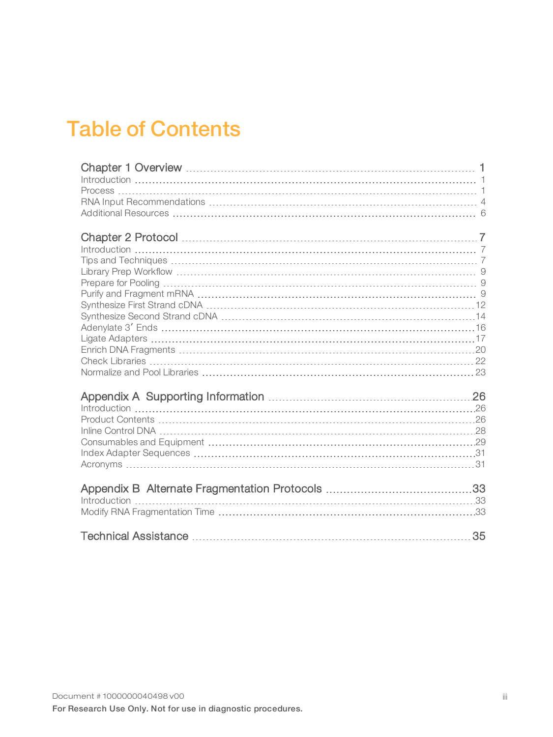# Table of Contents

| 35 |
|----|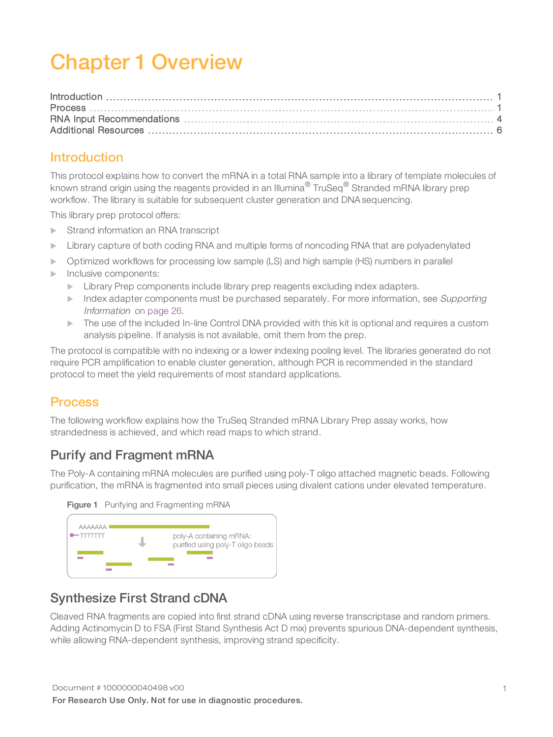# <span id="page-3-0"></span>Chapter 1 Overview

### <span id="page-3-1"></span>Introduction

This protocol explains how to convert the mRNA in a total RNA sample into a library of template molecules of known strand origin using the reagents provided in an Illumina<sup>®</sup> TruSeq<sup>®</sup> Stranded mRNA library prep workflow. The library is suitable for subsequent cluster generation and DNA sequencing.

This library prep protocol offers:

- $\blacktriangleright$  Strand information an RNA transcript
- **EXECT LIBRARY CAPTURE OF SOME AND FIGURE AND ADDED** forms of noncoding RNA that are polyadenylated
- **D** Optimized workflows for processing low sample (LS) and high sample (HS) numbers in parallel
- Inclusive components:
	- **EXECT AT A Library Prep components include library prep reagents excluding index adapters.**
	- $\triangleright$  Index adapter components must be purchased separately. For more information, see Supporting Information on [page](#page-28-0) 26.
	- $\triangleright$  The use of the included In-line Control DNA provided with this kit is optional and requires a custom analysis pipeline. If analysis is not available, omit them from the prep.

The protocol is compatible with no indexing or a lower indexing pooling level. The libraries generated do not require PCR amplification to enable cluster generation, although PCR is recommended in the standard protocol to meet the yield requirements of most standard applications.

### <span id="page-3-2"></span>Process

The following workflow explains how the TruSeq Stranded mRNA Library Prep assay works, how strandedness is achieved, and which read maps to which strand.

### Purify and Fragment mRNA

The Poly-A containing mRNA molecules are purified using poly-T oligo attached magnetic beads. Following purification, the mRNA is fragmented into small pieces using divalent cations under elevated temperature.





### Synthesize First Strand cDNA

Cleaved RNA fragments are copied into first strand cDNA using reverse transcriptase and random primers. Adding Actinomycin D to FSA (First Stand Synthesis Act D mix) prevents spurious DNA-dependent synthesis, while allowing RNA-dependent synthesis, improving strand specificity.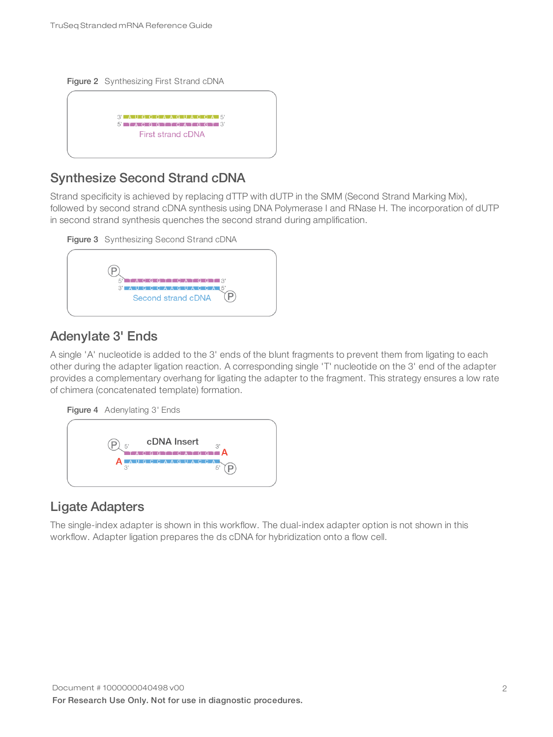Figure 2 Synthesizing First Strand cDNA



### Synthesize Second Strand cDNA

Strand specificity is achieved by replacing dTTP with dUTP in the SMM (Second Strand Marking Mix), followed by second strand cDNA synthesis using DNA Polymerase I and RNase H. The incorporation of dUTP in second strand synthesis quenches the second strand during amplification.



# Adenylate 3' Ends

A single 'A' nucleotide is added to the 3' ends of the blunt fragments to prevent them from ligating to each other during the adapter ligation reaction. A corresponding single 'T' nucleotide on the 3' end of the adapter provides a complementary overhang for ligating the adapter to the fragment. This strategy ensures a low rate of chimera (concatenated template) formation.





# Ligate Adapters

The single-index adapter is shown in this workflow. The dual-index adapter option is not shown in this workflow. Adapter ligation prepares the ds cDNA for hybridization onto a flow cell.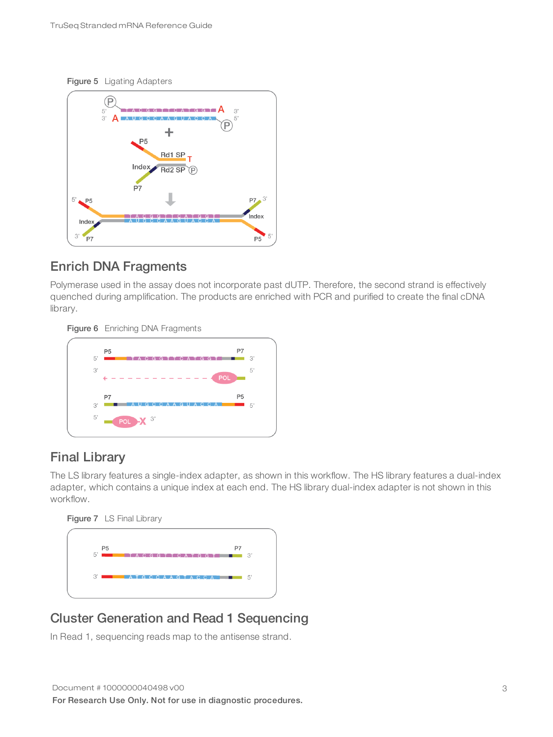



### Enrich DNA Fragments

Polymerase used in the assay does not incorporate past dUTP. Therefore, the second strand is effectively quenched during amplification. The products are enriched with PCR and purified to create the final cDNA library.

Figure 6 Enriching DNA Fragments



# Final Library

The LS library features a single-index adapter, as shown in this workflow. The HS library features a dual-index adapter, which contains a unique index at each end. The HS library dual-index adapter is not shown in this workflow.

Figure 7 LS Final Library



### Cluster Generation and Read 1 Sequencing

In Read 1, sequencing reads map to the antisense strand.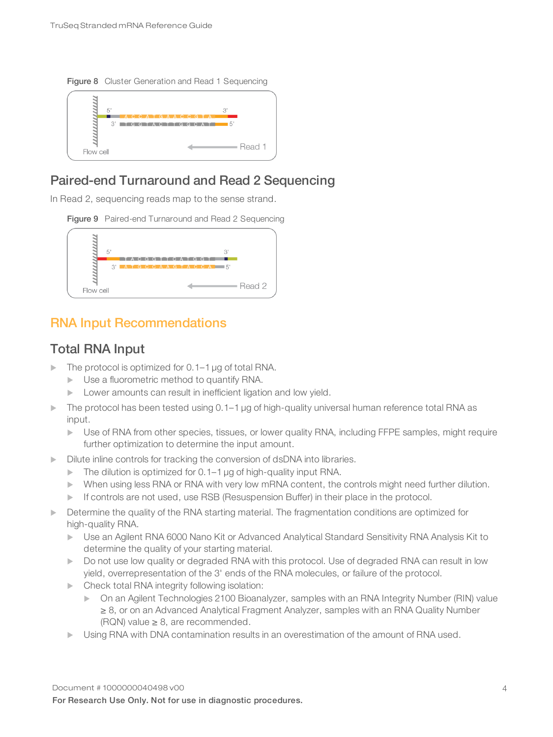

# Paired-end Turnaround and Read 2 Sequencing

In Read 2, sequencing reads map to the sense strand.





## <span id="page-6-0"></span>RNA Input Recommendations

### Total RNA Input

- $\blacktriangleright$  The protocol is optimized for 0.1–1 µg of total RNA.
	- $\blacktriangleright$  Use a fluorometric method to quantify RNA.
	- $\blacktriangleright$  Lower amounts can result in inefficient ligation and low yield.
- The protocol has been tested using  $0.1-1$   $\mu$ g of high-quality universal human reference total RNA as input.
	- Use of RNA from other species, tissues, or lower quality RNA, including FFPE samples, might require further optimization to determine the input amount.
- Dilute inline controls for tracking the conversion of dsDNA into libraries.
	- $\blacktriangleright$  The dilution is optimized for 0.1–1 µg of high-quality input RNA.
	- When using less RNA or RNA with very low mRNA content, the controls might need further dilution.
	- $\blacktriangleright$  If controls are not used, use RSB (Resuspension Buffer) in their place in the protocol.
- Determine the quality of the RNA starting material. The fragmentation conditions are optimized for high-quality RNA.
	- **Dimeter and Agilent RNA 6000 Nano Kit or Advanced Analytical Standard Sensitivity RNA Analysis Kit to Kit of** determine the quality of your starting material.
	- Do not use low quality or degraded RNA with this protocol. Use of degraded RNA can result in low yield, overrepresentation of the 3' ends of the RNA molecules, or failure of the protocol.
	- $\blacktriangleright$  Check total RNA integrity following isolation:
		- **On an Agilent Technologies 2100 Bioanalyzer, samples with an RNA Integrity Number (RIN) value** ≥ 8, or on an Advanced Analytical Fragment Analyzer, samples with an RNA Quality Number (RQN) value  $\geq$  8, are recommended.
	- Using RNA with DNA contamination results in an overestimation of the amount of RNA used.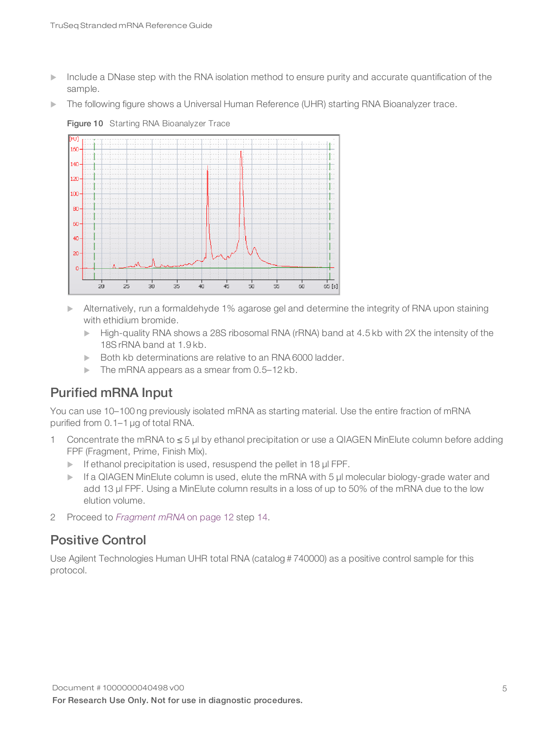- Include a DNase step with the RNA isolation method to ensure purity and accurate quantification of the sample.
- The following figure shows a Universal Human Reference (UHR) starting RNA Bioanalyzer trace.



Figure 10 Starting RNA Bioanalyzer Trace

- $\blacktriangleright$  Alternatively, run a formaldehyde 1% agarose gel and determine the integrity of RNA upon staining with ethidium bromide.
	- High-quality RNA shows a 28S ribosomal RNA (rRNA) band at 4.5 kb with 2X the intensity of the 18S rRNA band at 1.9 kb.
	- $\triangleright$  Both kb determinations are relative to an RNA 6000 ladder.
	- $\blacktriangleright$  The mRNA appears as a smear from 0.5-12 kb.

# Purified mRNA Input

You can use 10–100 ng previously isolated mRNA as starting material. Use the entire fraction of mRNA purified from 0.1–1 µg of total RNA.

- 1 Concentrate the mRNA to ≤ 5 µl by ethanol precipitation or use a QIAGEN MinElute column before adding FPF (Fragment, Prime, Finish Mix).
	- $\blacktriangleright$  If ethanol precipitation is used, resuspend the pellet in 18  $\mu$  FPF.
	- $\blacktriangleright$  If a QIAGEN MinElute column is used, elute the mRNA with 5 µl molecular biology-grade water and add 13 µl FPF. Using a MinElute column results in a loss of up to 50% of the mRNA due to the low elution volume.
- 2 Proceed to [Fragment](#page-14-1) mRNA on page 12 step [14](#page-14-2).

### Positive Control

Use Agilent Technologies Human UHR total RNA (catalog # 740000) as a positive control sample for this protocol.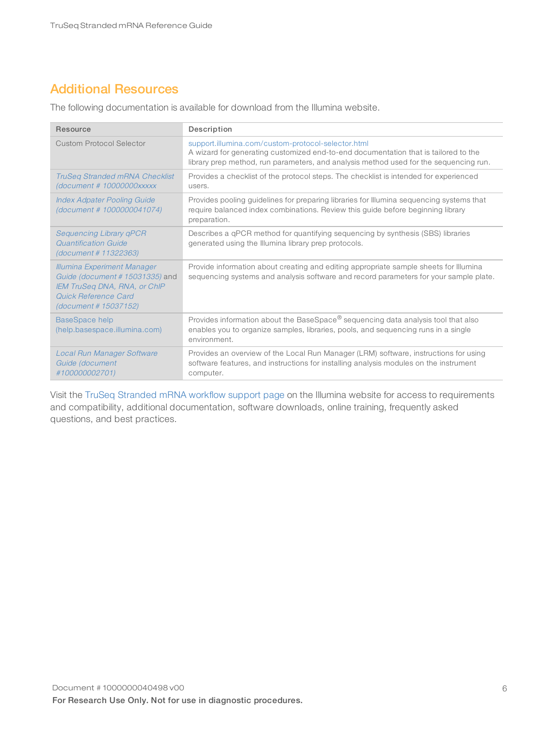# <span id="page-8-0"></span>Additional Resources

The following documentation is available for download from the Illumina website.

| Resource                                                                                                                                                      | Description                                                                                                                                                                                                                        |  |
|---------------------------------------------------------------------------------------------------------------------------------------------------------------|------------------------------------------------------------------------------------------------------------------------------------------------------------------------------------------------------------------------------------|--|
| <b>Custom Protocol Selector</b>                                                                                                                               | support.illumina.com/custom-protocol-selector.html<br>A wizard for generating customized end-to-end documentation that is tailored to the<br>library prep method, run parameters, and analysis method used for the sequencing run. |  |
| <b>TruSeg Stranded mRNA Checklist</b><br>(document # 10000000xxxxx                                                                                            | Provides a checklist of the protocol steps. The checklist is intended for experienced<br>users.                                                                                                                                    |  |
| <b>Index Adpater Pooling Guide</b><br>(document # 1000000041074)                                                                                              | Provides pooling guidelines for preparing libraries for Illumina sequencing systems that<br>require balanced index combinations. Review this guide before beginning library<br>preparation.                                        |  |
| <b>Sequencing Library qPCR</b><br>Quantification Guide<br>(document # 11322363)                                                                               | Describes a qPCR method for quantifying sequencing by synthesis (SBS) libraries<br>generated using the Illumina library prep protocols.                                                                                            |  |
| <b>Illumina Experiment Manager</b><br>Guide (document # 15031335) and<br><b>IEM TruSeg DNA, RNA, or ChIP</b><br>Quick Reference Card<br>(document # 15037152) | Provide information about creating and editing appropriate sample sheets for Illumina<br>sequencing systems and analysis software and record parameters for your sample plate.                                                     |  |
| <b>BaseSpace help</b><br>(help.basespace.illumina.com)                                                                                                        | Provides information about the BaseSpace® sequencing data analysis tool that also<br>enables you to organize samples, libraries, pools, and sequencing runs in a single<br>environment.                                            |  |
| <b>Local Run Manager Software</b><br>Guide (document<br>#100000002701)                                                                                        | Provides an overview of the Local Run Manager (LRM) software, instructions for using<br>software features, and instructions for installing analysis modules on the instrument<br>computer.                                         |  |

Visit the TruSeq [Stranded](https://support.illumina.com/sequencing/sequencing_kits/truseq-stranded-mrna-workflow.html) mRNA workflow support page on the Illumina website for access to requirements and compatibility, additional documentation, software downloads, online training, frequently asked questions, and best practices.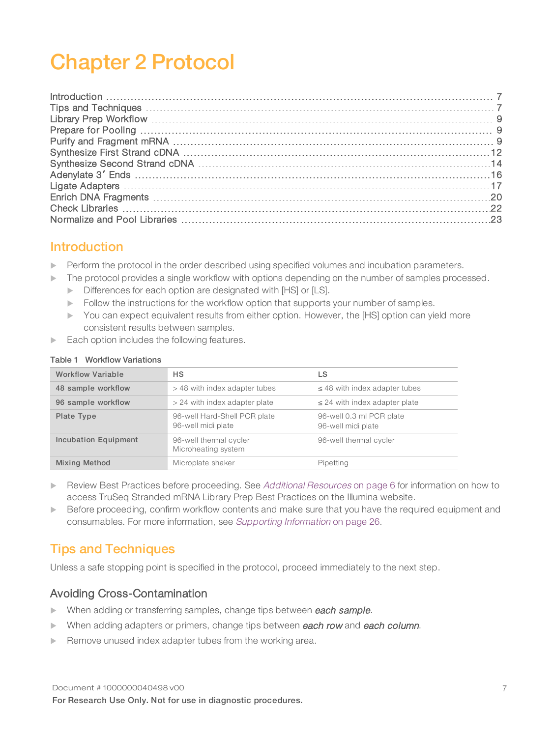# <span id="page-9-0"></span>Chapter 2 Protocol

### <span id="page-9-1"></span>Introduction

- $\blacktriangleright$  Perform the protocol in the order described using specified volumes and incubation parameters.
- $\blacktriangleright$  The protocol provides a single workflow with options depending on the number of samples processed.
	- Differences for each option are designated with [HS] or [LS].
	- $\triangleright$  Follow the instructions for the workflow option that supports your number of samples.
	- You can expect equivalent results from either option. However, the [HS] option can yield more consistent results between samples.
- $\blacktriangleright$  Each option includes the following features.

| <b>Workflow Variable</b> | <b>HS</b>                                                           | LS                                             |
|--------------------------|---------------------------------------------------------------------|------------------------------------------------|
| 48 sample workflow       | > 48 with index adapter tubes<br>$\leq$ 48 with index adapter tubes |                                                |
| 96 sample workflow       | > 24 with index adapter plate                                       | $\leq$ 24 with index adapter plate             |
| Plate Type               | 96-well Hard-Shell PCR plate<br>96-well midi plate                  | 96-well 0.3 ml PCR plate<br>96-well midi plate |
| Incubation Equipment     | 96-well thermal cycler<br>Microheating system                       | 96-well thermal cycler                         |
| <b>Mixing Method</b>     | Microplate shaker                                                   | Pipetting                                      |

### Table 1 Workflow Variations

- Review Best Practices before proceeding. See Additional [Resources](#page-8-0) on page 6 for information on how to access TruSeq Stranded mRNA Library Prep Best Practices on the Illumina website.
- $\blacktriangleright$  Before proceeding, confirm workflow contents and make sure that you have the required equipment and consumables. For more information, see [Supporting](#page-28-3) Information on page 26.

# <span id="page-9-2"></span>Tips and Techniques

Unless a safe stopping point is specified in the protocol, proceed immediately to the next step.

### Avoiding Cross-Contamination

- When adding or transferring samples, change tips between each sample.
- $\blacktriangleright$  When adding adapters or primers, change tips between each row and each column.
- Remove unused index adapter tubes from the working area.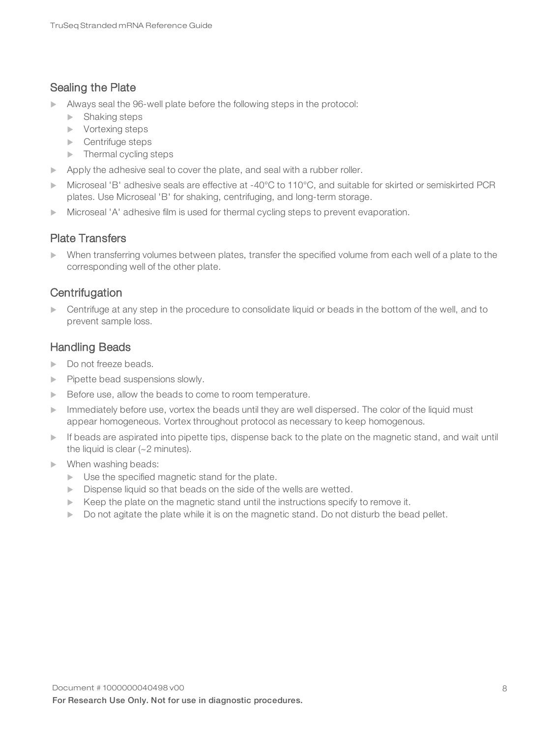### Sealing the Plate

- $\blacktriangleright$  Always seal the 96-well plate before the following steps in the protocol:
	- $\blacktriangleright$  Shaking steps
	- $\blacktriangleright$  Vortexing steps
	- $\blacktriangleright$  Centrifuge steps
	- $\blacktriangleright$  Thermal cycling steps
- Apply the adhesive seal to cover the plate, and seal with a rubber roller.
- Microseal 'B' adhesive seals are effective at -40°C to 110°C, and suitable for skirted or semiskirted PCR plates. Use Microseal 'B' for shaking, centrifuging, and long-term storage.
- $\blacktriangleright$  Microseal 'A' adhesive film is used for thermal cycling steps to prevent evaporation.

### Plate Transfers

 $\triangleright$  When transferring volumes between plates, transfer the specified volume from each well of a plate to the corresponding well of the other plate.

### **Centrifugation**

 $\triangleright$  Centrifuge at any step in the procedure to consolidate liquid or beads in the bottom of the well, and to prevent sample loss.

### Handling Beads

- $\triangleright$  Do not freeze beads.
- $\blacktriangleright$  Pipette bead suspensions slowly.
- $\blacktriangleright$  Before use, allow the beads to come to room temperature.
- Immediately before use, vortex the beads until they are well dispersed. The color of the liquid must appear homogeneous. Vortex throughout protocol as necessary to keep homogenous.
- $\blacktriangleright$  If beads are aspirated into pipette tips, dispense back to the plate on the magnetic stand, and wait until the liquid is clear (~2 minutes).
- When washing beads:
	- $\blacktriangleright$  Use the specified magnetic stand for the plate.
	- $\triangleright$  Dispense liquid so that beads on the side of the wells are wetted.
	- $\blacktriangleright$  Keep the plate on the magnetic stand until the instructions specify to remove it.
	- $\triangleright$  Do not agitate the plate while it is on the magnetic stand. Do not disturb the bead pellet.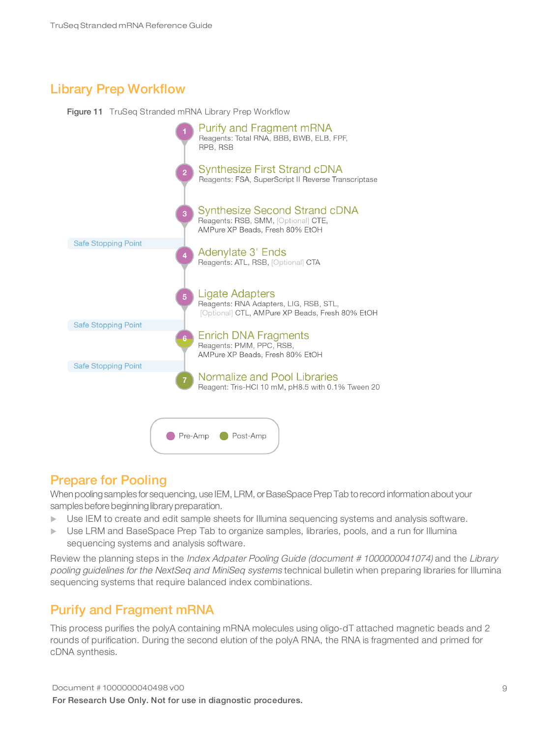# <span id="page-11-0"></span>Library Prep Workflow

Figure 11 TruSeq Stranded mRNA Library Prep Workflow



### <span id="page-11-1"></span>Prepare for Pooling

When pooling samples for sequencing, use IEM, LRM, or BaseSpace Prep Tab to record information about your samples before beginning library preparation.

- Use IEM to create and edit sample sheets for Illumina sequencing systems and analysis software.
- Use LRM and BaseSpace Prep Tab to organize samples, libraries, pools, and a run for Illumina sequencing systems and analysis software.

Review the planning steps in the Index Adpater Pooling Guide (document # 1000000041074) and the Library pooling guidelines for the NextSeq and MiniSeq systems technical bulletin when preparing libraries for Illumina sequencing systems that require balanced index combinations.

# <span id="page-11-2"></span>Purify and Fragment mRNA

This process purifies the polyA containing mRNA molecules using oligo-dT attached magnetic beads and 2 rounds of purification. During the second elution of the polyA RNA, the RNA is fragmented and primed for cDNA synthesis.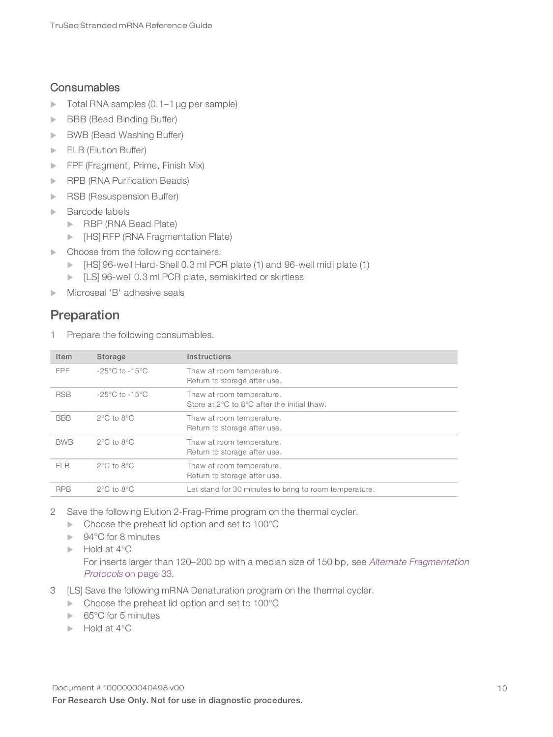### **Consumables**

- $\triangleright$  Total RNA samples (0.1–1 µg per sample)
- **BBB (Bead Binding Buffer)**
- **BWB (Bead Washing Buffer)**
- $\blacktriangleright$  ELB (Elution Buffer)
- FPF (Fragment, Prime, Finish Mix)
- **RPB (RNA Purification Beads)**
- RSB (Resuspension Buffer)
- $\blacktriangleright$  Barcode labels
	- RBP (RNA Bead Plate)
	- **INGERTH (RNA Fragmentation Plate)**
- $\blacktriangleright$  Choose from the following containers:
	- Figure 1: 13 and 96-well Hard-Shell 0.3 ml PCR plate (1) and 96-well midi plate (1)
	- **EXECUSE 15 INCR** plate, semiskirted or skirtless
- $\triangleright$  Microseal 'B' adhesive seals

# Preparation

1 Prepare the following consumables.

| Item       | Storage                            | Instructions                                                             |
|------------|------------------------------------|--------------------------------------------------------------------------|
| FPF        | $-25^{\circ}$ C to $-15^{\circ}$ C | Thaw at room temperature.<br>Return to storage after use.                |
| <b>RSB</b> | $-25^{\circ}$ C to $-15^{\circ}$ C | Thaw at room temperature.<br>Store at 2°C to 8°C after the initial thaw. |
| <b>BBB</b> | $2^{\circ}$ C to $8^{\circ}$ C     | Thaw at room temperature.<br>Return to storage after use.                |
| <b>BWB</b> | $2^{\circ}$ C to $8^{\circ}$ C     | Thaw at room temperature.<br>Return to storage after use.                |
| FI R       | $2^{\circ}$ C to $8^{\circ}$ C     | Thaw at room temperature.<br>Return to storage after use.                |
| <b>RPB</b> | $2^{\circ}$ C to $8^{\circ}$ C     | Let stand for 30 minutes to bring to room temperature.                   |

- 2 Save the following Elution 2-Frag-Prime program on the thermal cycler.
	- $\blacktriangleright$  Choose the preheat lid option and set to 100 $^{\circ}$ C
	- $\blacktriangleright$  94°C for 8 minutes
	- $\blacktriangleright$  Hold at 4°C

For inserts larger than 120–200 bp with a median size of 150 bp, see Alternate [Fragmentation](#page-35-3) [Protocols](#page-35-3) on page 33.

- 3 [LS] Save the following mRNA Denaturation program on the thermal cycler.
	- $\blacktriangleright$  Choose the preheat lid option and set to 100 $^{\circ}$ C
	- $\triangleright$  65°C for 5 minutes
	- $\blacktriangleright$  Hold at 4°C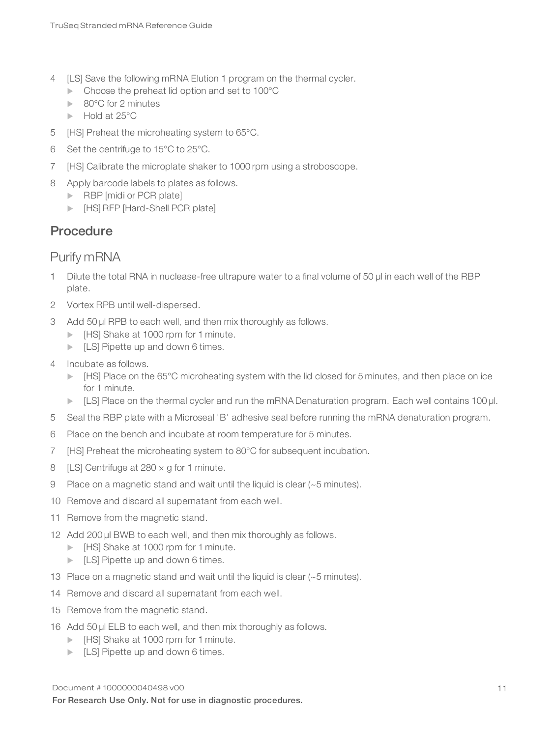- 4 [LS] Save the following mRNA Elution 1 program on the thermal cycler.
	- $\blacktriangleright$  Choose the preheat lid option and set to 100 $^{\circ}$ C
	- $\blacktriangleright$  80°C for 2 minutes
	- $\blacktriangleright$  Hold at 25 $^{\circ}$ C
- 5 [HS] Preheat the microheating system to 65°C.
- 6 Set the centrifuge to 15°C to 25°C.
- 7 [HS] Calibrate the microplate shaker to 1000 rpm using a stroboscope.
- 8 Apply barcode labels to plates as follows.
	- $\blacktriangleright$  RBP [midi or PCR plate]
	- **EXADEL FREP [Hard-Shell PCR plate]**

# **Procedure**

# Purify mRNA

- 1 Dilute the total RNA in nuclease-free ultrapure water to a final volume of 50 μl in each well of the RBP plate.
- 2 Vortex RPB until well-dispersed.
- 3 Add 50 µl RPB to each well, and then mix thoroughly as follows.
	- **IF IT IT IT SHAKE AT 1000 rpm for 1 minute.**
	- $\blacktriangleright$  [LS] Pipette up and down 6 times.
- 4 Incubate as follows.
	- ▶ [HS] Place on the 65°C microheating system with the lid closed for 5 minutes, and then place on ice for 1 minute.
	- ► [LS] Place on the thermal cycler and run the mRNA Denaturation program. Each well contains 100 µl.
- 5 Seal the RBP plate with a Microseal 'B' adhesive seal before running the mRNA denaturation program.
- 6 Place on the bench and incubate at room temperature for 5 minutes.
- 7 [HS] Preheat the microheating system to 80°C for subsequent incubation.
- 8 [LS] Centrifuge at  $280 \times g$  for 1 minute.
- 9 Place on a magnetic stand and wait until the liquid is clear (~5 minutes).
- 10 Remove and discard all supernatant from each well.
- 11 Remove from the magnetic stand.
- 12 Add 200 µl BWB to each well, and then mix thoroughly as follows.
	- **IF IT All Shake at 1000 rpm for 1 minute.**
	- $\blacktriangleright$  [LS] Pipette up and down 6 times.
- 13 Place on a magnetic stand and wait until the liquid is clear (~5 minutes).
- 14 Remove and discard all supernatant from each well.
- 15 Remove from the magnetic stand.
- 16 Add 50 µl ELB to each well, and then mix thoroughly as follows.
	- **IF All His Universe 1000 For 1 minute.**
	- $\blacktriangleright$  [LS] Pipette up and down 6 times.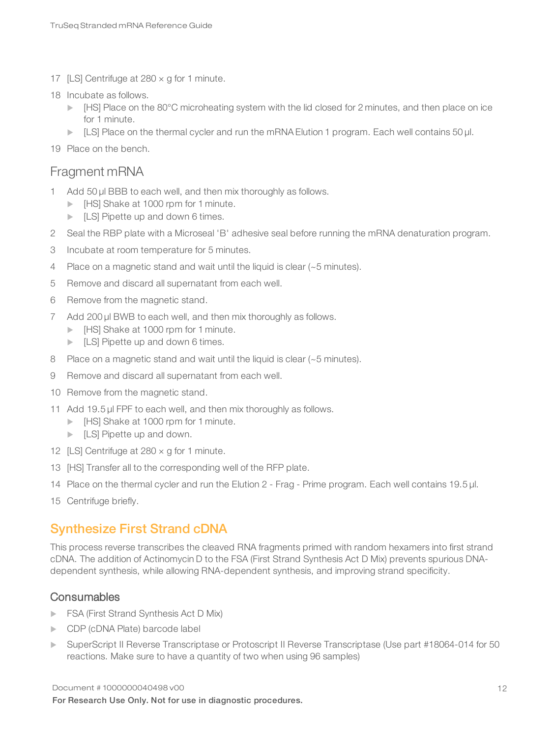- 17 [LS] Centrifuge at  $280 \times g$  for 1 minute.
- 18 Incubate as follows.
	- $\blacktriangleright$  [HS] Place on the 80°C microheating system with the lid closed for 2 minutes, and then place on ice for 1 minute.
	- $\blacktriangleright$  [LS] Place on the thermal cycler and run the mRNA Elution 1 program. Each well contains 50 µl.
- <span id="page-14-1"></span>19 Place on the bench.

### Fragment mRNA

- 1 Add 50 µl BBB to each well, and then mix thoroughly as follows.
	- **IF IT IT IT SHAKE AT 1000 rpm for 1 minute.**
	- $\blacktriangleright$  [LS] Pipette up and down 6 times.
- 2 Seal the RBP plate with a Microseal 'B' adhesive seal before running the mRNA denaturation program.
- 3 Incubate at room temperature for 5 minutes.
- 4 Place on a magnetic stand and wait until the liquid is clear (~5 minutes).
- 5 Remove and discard all supernatant from each well.
- 6 Remove from the magnetic stand.
- 7 Add 200 µl BWB to each well, and then mix thoroughly as follows.
	- **IF IT IT IT SHAKE AT 1000 rpm for 1 minute.**
	- $\blacktriangleright$  [LS] Pipette up and down 6 times.
- 8 Place on a magnetic stand and wait until the liquid is clear (~5 minutes).
- 9 Remove and discard all supernatant from each well.
- 10 Remove from the magnetic stand.
- 11 Add 19.5 µl FPF to each well, and then mix thoroughly as follows.
	- **IF IT IT IT SHAKE AT 1000 rpm for 1 minute.**
	- $\blacktriangleright$  [LS] Pipette up and down.
- 12 [LS] Centrifuge at  $280 \times g$  for 1 minute.
- <span id="page-14-2"></span>13 [HS] Transfer all to the corresponding well of the RFP plate.
- 14 Place on the thermal cycler and run the Elution 2 Frag Prime program. Each well contains 19.5 µl.
- <span id="page-14-0"></span>15 Centrifuge briefly.

### Synthesize First Strand cDNA

This process reverse transcribes the cleaved RNA fragments primed with random hexamers into first strand cDNA. The addition of Actinomycin D to the FSA (First Strand Synthesis Act D Mix) prevents spurious DNAdependent synthesis, while allowing RNA-dependent synthesis, and improving strand specificity.

### **Consumables**

- **FSA (First Strand Synthesis Act D Mix)**
- **DECDP** (cDNA Plate) barcode label
- ▶ SuperScript II Reverse Transcriptase or Protoscript II Reverse Transcriptase (Use part #18064-014 for 50 reactions. Make sure to have a quantity of two when using 96 samples)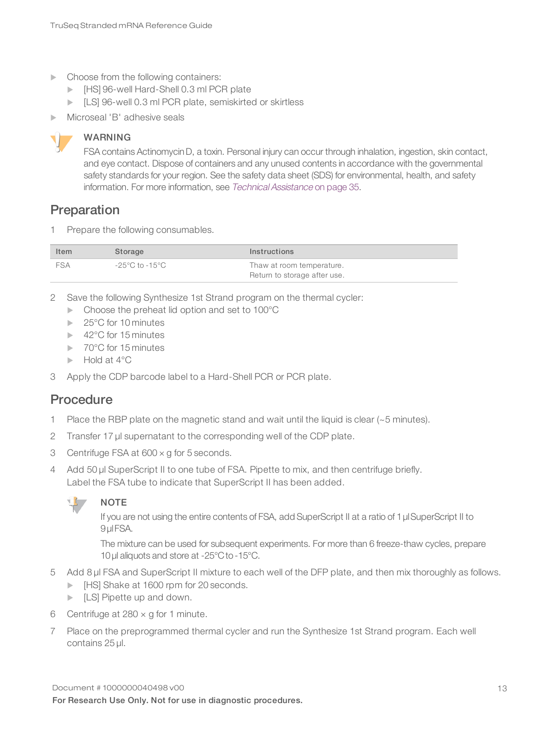- $\blacktriangleright$  Choose from the following containers:
	- **IF FULLY 196-well Hard-Shell 0.3 ml PCR plate**
	- **EXECUSE 10.3 ML PCR plate, semiskirted or skirtless**
- Microseal 'B' adhesive seals

### WARNING

FSA contains Actinomycin D, a toxin. Personal injury can occur through inhalation, ingestion, skin contact, and eye contact. Dispose of containers and any unused contents in accordance with the governmental safety standards for your region. See the safety data sheet (SDS) for environmental, health, and safety information. For more information, see Technical [Assistance](#page-37-0) on page 35.

### Preparation

1 Prepare the following consumables.

| Item       | Storage        | <b>Instructions</b>                                       |
|------------|----------------|-----------------------------------------------------------|
| <b>FSA</b> | -25°C to -15°C | Thaw at room temperature.<br>Return to storage after use. |

- 2 Save the following Synthesize 1st Strand program on the thermal cycler:
	- $\blacktriangleright$  Choose the preheat lid option and set to 100 $^{\circ}$ C
	- $\blacktriangleright$  25°C for 10 minutes
	- $\blacktriangleright$  42°C for 15 minutes
	- $\blacktriangleright$  70°C for 15 minutes
	- $\blacktriangleright$  Hold at 4 $^{\circ}$ C
- 3 Apply the CDP barcode label to a Hard-Shell PCR or PCR plate.

### **Procedure**

- 1 Place the RBP plate on the magnetic stand and wait until the liquid is clear  $(-5 \text{ minutes})$ .
- 2 Transfer 17 µl supernatant to the corresponding well of the CDP plate.
- 3 Centrifuge FSA at 600 × g for 5 seconds.
- 4 Add 50 µl SuperScript II to one tube of FSA. Pipette to mix, and then centrifuge briefly. Label the FSA tube to indicate that SuperScript II has been added.



NOTE

If you are not using the entire contents of FSA, add SuperScript II at a ratio of 1 µl SuperScript II to 9 ul FSA.

The mixture can be used for subsequent experiments. For more than 6 freeze-thaw cycles, prepare 10 µl aliquots and store at -25°C to -15°C.

- 5 Add 8 µl FSA and SuperScript II mixture to each well of the DFP plate, and then mix thoroughly as follows.
	- **IF INSTER 1600 rpm for 20 seconds.**
	- $\blacktriangleright$  [LS] Pipette up and down.
- 6 Centrifuge at  $280 \times g$  for 1 minute.
- 7 Place on the preprogrammed thermal cycler and run the Synthesize 1st Strand program. Each well contains 25 µl.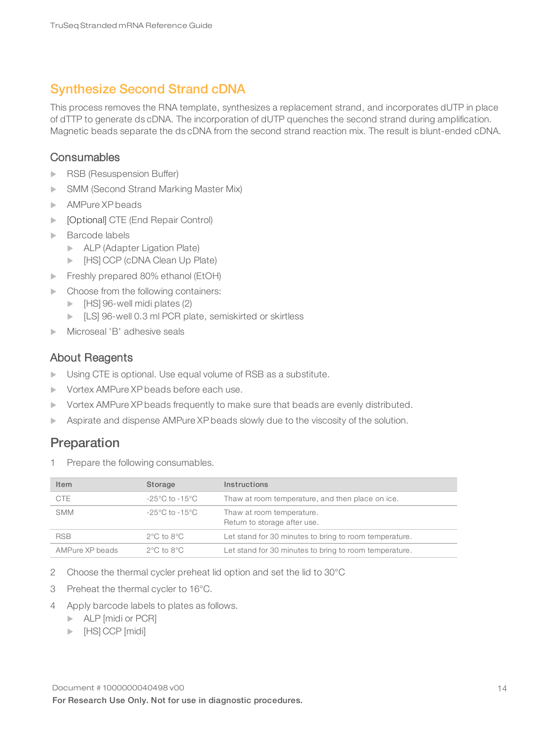# <span id="page-16-0"></span>Synthesize Second Strand cDNA

This process removes the RNA template, synthesizes a replacement strand, and incorporates dUTP in place of dTTP to generate ds cDNA. The incorporation of dUTP quenches the second strand during amplification. Magnetic beads separate the ds cDNA from the second strand reaction mix. The result is blunt-ended cDNA.

### **Consumables**

- RSB (Resuspension Buffer)
- **INGLING SMM** (Second Strand Marking Master Mix)
- AMPure XP beads
- **Demograph** CTE (End Repair Control)
- $\blacktriangleright$  Barcode labels
	- ALP (Adapter Ligation Plate)
	- **EXADE (CDNA Clean Up Plate)**
- Freshly prepared 80% ethanol (EtOH)
- $\blacktriangleright$  Choose from the following containers:
	- $\blacktriangleright$  [HS] 96-well midi plates (2)
	- **EXECUSE 10.3 ML PCR plate, semiskirted or skirtless**
- Microseal 'B' adhesive seals

### About Reagents

- $\triangleright$  Using CTE is optional. Use equal volume of RSB as a substitute.
- vortex AMPure XP beads before each use.
- Vortex AMPure XP beads frequently to make sure that beads are evenly distributed.
- $\triangleright$  Aspirate and dispense AMPure XP beads slowly due to the viscosity of the solution.

### Preparation

1 Prepare the following consumables.

| Item            | Storage                            | Instructions                                              |
|-----------------|------------------------------------|-----------------------------------------------------------|
| <b>CTE</b>      | $-25^{\circ}$ C to $-15^{\circ}$ C | Thaw at room temperature, and then place on ice.          |
| <b>SMM</b>      | $-25^{\circ}$ C to $-15^{\circ}$ C | Thaw at room temperature.<br>Return to storage after use. |
| <b>RSB</b>      | $2^{\circ}$ C to $8^{\circ}$ C     | Let stand for 30 minutes to bring to room temperature.    |
| AMPure XP beads | $2^{\circ}$ C to $8^{\circ}$ C     | Let stand for 30 minutes to bring to room temperature.    |

- 2 Choose the thermal cycler preheat lid option and set the lid to 30°C
- 3 Preheat the thermal cycler to 16°C.
- 4 Apply barcode labels to plates as follows.
	- $\blacktriangleright$  ALP [midi or PCR]
	- $\blacktriangleright$  [HS] CCP [midi]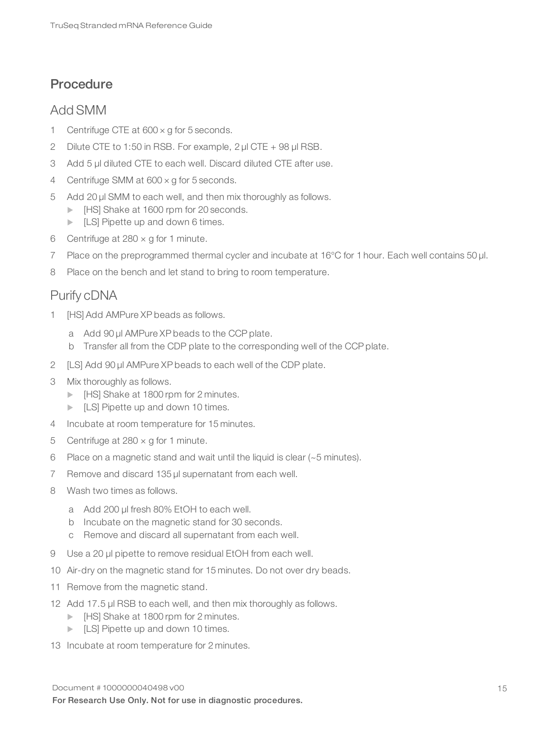# **Procedure**

### Add SMM

- 1 Centrifuge CTE at  $600 \times g$  for 5 seconds.
- 2 Dilute CTE to 1:50 in RSB. For example, 2 μl CTE + 98 μl RSB.
- 3 Add 5 µl diluted CTE to each well. Discard diluted CTE after use.
- 4 Centrifuge SMM at 600 × g for 5 seconds.
- 5 Add 20 µl SMM to each well, and then mix thoroughly as follows.
	- **IF IT IT IT ATTE:** IT ISSN FOR THE ISSNET IT IT ISSNET IT IT ISSNET IT IT ISSNET IT IT ISSNET IT IT ISSNET IT I
	- $\blacktriangleright$  [LS] Pipette up and down 6 times.
- 6 Centrifuge at  $280 \times g$  for 1 minute.
- 7 Place on the preprogrammed thermal cycler and incubate at 16°C for 1 hour. Each well contains 50 µl.
- 8 Place on the bench and let stand to bring to room temperature.

# Purify cDNA

- 1 [HS] Add AMPure XP beads as follows.
	- a Add 90 µl AMPure XP beads to the CCP plate.
	- b Transfer all from the CDP plate to the corresponding well of the CCP plate.
- 2 [LS] Add 90 µl AMPure XP beads to each well of the CDP plate.
- 3 Mix thoroughly as follows.
	- **IF Arm In Fig. 2** Fig. 2 Minutes.
	- $\blacktriangleright$  [LS] Pipette up and down 10 times.
- 4 Incubate at room temperature for 15 minutes.
- 5 Centrifuge at  $280 \times g$  for 1 minute.
- 6 Place on a magnetic stand and wait until the liquid is clear (~5 minutes).
- 7 Remove and discard 135 µl supernatant from each well.
- 8 Wash two times as follows.
	- a Add 200 µl fresh 80% EtOH to each well.
	- b Incubate on the magnetic stand for 30 seconds.
	- c Remove and discard all supernatant from each well.
- 9 Use a 20 µl pipette to remove residual EtOH from each well.
- 10 Air-dry on the magnetic stand for 15 minutes. Do not over dry beads.
- 11 Remove from the magnetic stand.
- 12 Add 17.5 µl RSB to each well, and then mix thoroughly as follows.
	- **IF IT All Shake at 1800 rpm for 2 minutes.**
	- $\blacktriangleright$  [LS] Pipette up and down 10 times.
- 13 Incubate at room temperature for 2 minutes.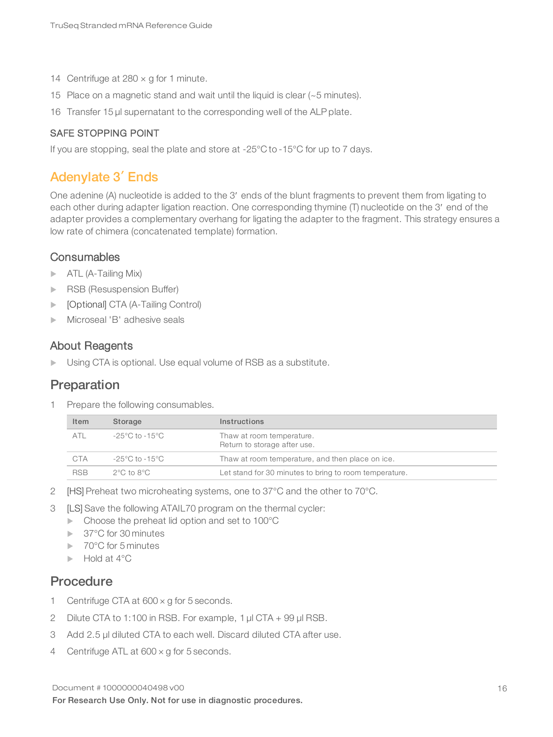- 14 Centrifuge at  $280 \times g$  for 1 minute.
- 15 Place on a magnetic stand and wait until the liquid is clear (~5 minutes).
- 16 Transfer 15 µl supernatant to the corresponding well of the ALP plate.

### SAFE STOPPING POINT

<span id="page-18-0"></span>If you are stopping, seal the plate and store at -25°C to -15°C for up to 7 days.

### Adenylate 3′Ends

One adenine (A) nucleotide is added to the 3ʹ ends of the blunt fragments to prevent them from ligating to each other during adapter ligation reaction. One corresponding thymine (T) nucleotide on the 3ʹ end of the adapter provides a complementary overhang for ligating the adapter to the fragment. This strategy ensures a low rate of chimera (concatenated template) formation.

### **Consumables**

- $\triangleright$  ATL (A-Tailing Mix)
- RSB (Resuspension Buffer)
- [Optional] CTA (A-Tailing Control)
- $\blacktriangleright$  Microseal 'B' adhesive seals

### About Reagents

Using CTA is optional. Use equal volume of RSB as a substitute.

### Preparation

1 Prepare the following consumables.

| Item       | Storage                        | <b>Instructions</b>                                       |
|------------|--------------------------------|-----------------------------------------------------------|
| ATI        | -25°C to -15°C                 | Thaw at room temperature.<br>Return to storage after use. |
| CTA        | -25°C to -15°C                 | Thaw at room temperature, and then place on ice.          |
| <b>RSB</b> | $2^{\circ}$ C to $8^{\circ}$ C | Let stand for 30 minutes to bring to room temperature.    |

- 2 [HS] Preheat two microheating systems, one to 37°C and the other to 70°C.
- 3 [LS] Save the following ATAIL70 program on the thermal cycler:
	- $\blacktriangleright$  Choose the preheat lid option and set to 100 $^{\circ}$ C
	- $\blacktriangleright$  37°C for 30 minutes
	- $\blacktriangleright$  70°C for 5 minutes
	- $\blacktriangleright$  Hold at 4°C

### Procedure

- 1 Centrifuge CTA at 600 x g for 5 seconds.
- 2 Dilute CTA to 1:100 in RSB. For example, 1 μl CTA + 99 μl RSB.
- 3 Add 2.5 µl diluted CTA to each well. Discard diluted CTA after use.
- 4 Centrifuge ATL at 600 x g for 5 seconds.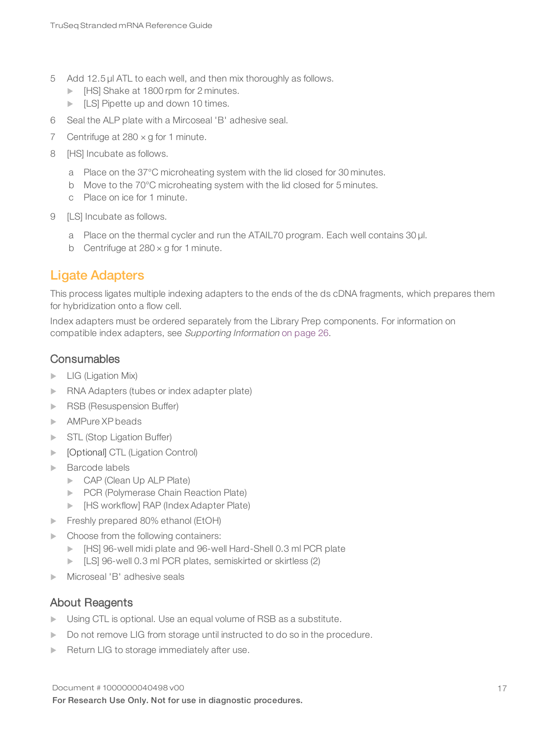- 5 Add 12.5 µl ATL to each well, and then mix thoroughly as follows.
	- **IF IT All Shake at 1800 rpm for 2 minutes.**
	- $\blacktriangleright$  [LS] Pipette up and down 10 times.
- 6 Seal the ALP plate with a Mircoseal 'B' adhesive seal.
- 7 Centrifuge at  $280 \times g$  for 1 minute.
- 8 [HS] Incubate as follows.
	- a Place on the 37°C microheating system with the lid closed for 30 minutes.
	- b Move to the 70°C microheating system with the lid closed for 5 minutes.
	- c Place on ice for 1 minute.
- 9 [LS] Incubate as follows.
	- a Place on the thermal cycler and run the ATAIL70 program. Each well contains 30 µl.
	- b Centrifuge at  $280 \times g$  for 1 minute.

### <span id="page-19-0"></span>Ligate Adapters

This process ligates multiple indexing adapters to the ends of the ds cDNA fragments, which prepares them for hybridization onto a flow cell.

Index adapters must be ordered separately from the Library Prep components. For information on compatible index adapters, see Supporting Information on [page](#page-28-0) 26.

### **Consumables**

- $\blacktriangleright$  LIG (Ligation Mix)
- $\blacktriangleright$  RNA Adapters (tubes or index adapter plate)
- RSB (Resuspension Buffer)
- AMPure XP beads
- STL (Stop Ligation Buffer)
- **IDED** [Optional] CTL (Ligation Control)
- $\blacktriangleright$  Barcode labels
	- $\triangleright$  CAP (Clean Up ALP Plate)
	- **PCR (Polymerase Chain Reaction Plate)**
	- **INCHER WARE (INDEX ADAP (Index Adapter Plate)**
- Freshly prepared 80% ethanol (EtOH)
- $\blacktriangleright$  Choose from the following containers:
	- Extempt [HS] 96-well midi plate and 96-well Hard-Shell 0.3 ml PCR plate
	- **EXECUSE 10.3 M** PCR plates, semiskirted or skirtless (2)
- Microseal 'B' adhesive seals

### About Reagents

- $\triangleright$  Using CTL is optional. Use an equal volume of RSB as a substitute.
- Do not remove LIG from storage until instructed to do so in the procedure.
- $\blacktriangleright$  Return LIG to storage immediately after use.

Document # 1000000040498 v00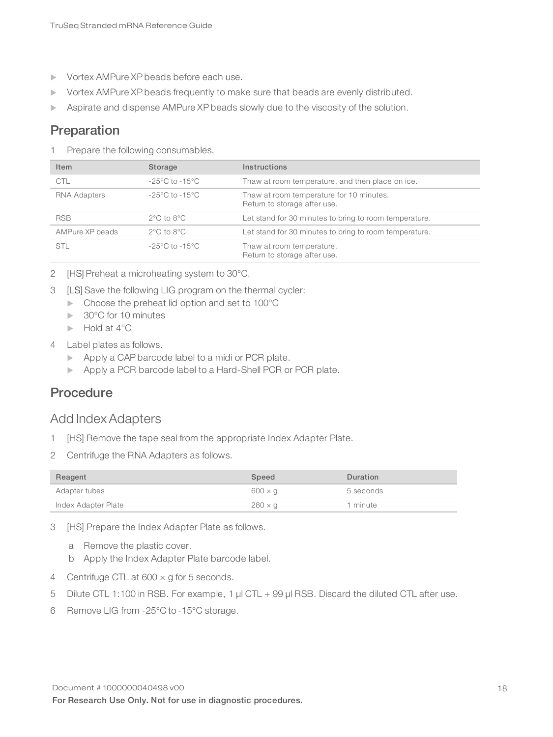- Vortex AMPure XP beads before each use.
- vortex AMPure XP beads frequently to make sure that beads are evenly distributed.
- Aspirate and dispense AMPure XP beads slowly due to the viscosity of the solution.

### Preparation

1 Prepare the following consumables.

| Item            | Storage                            | Instructions                                                             |
|-----------------|------------------------------------|--------------------------------------------------------------------------|
| <b>CTL</b>      | $-25^{\circ}$ C to $-15^{\circ}$ C | Thaw at room temperature, and then place on ice.                         |
| RNA Adapters    | $-25^{\circ}$ C to $-15^{\circ}$ C | Thaw at room temperature for 10 minutes.<br>Return to storage after use. |
| <b>RSB</b>      | $2^{\circ}$ C to $8^{\circ}$ C     | Let stand for 30 minutes to bring to room temperature.                   |
| AMPure XP beads | $2^{\circ}$ C to $8^{\circ}$ C     | Let stand for 30 minutes to bring to room temperature.                   |
| STL             | $-25^{\circ}$ C to $-15^{\circ}$ C | Thaw at room temperature.<br>Return to storage after use.                |

- 2 [HS] Preheat a microheating system to 30°C.
- 3 [LS] Save the following LIG program on the thermal cycler:
	- $\blacktriangleright$  Choose the preheat lid option and set to 100 $^{\circ}$ C
	- $\blacktriangleright$  30°C for 10 minutes
	- $\blacktriangleright$  Hold at 4°C
- 4 Label plates as follows.
	- $\blacktriangleright$  Apply a CAP barcode label to a midi or PCR plate.
	- Apply a PCR barcode label to a Hard-Shell PCR or PCR plate.

### **Procedure**

### Add Index Adapters

- 1 [HS] Remove the tape seal from the appropriate Index Adapter Plate.
- 2 Centrifuge the RNA Adapters as follows.

| Reagent             | Speed          | Duration  |
|---------------------|----------------|-----------|
| Adapter tubes       | $600 \times q$ | 5 seconds |
| Index Adapter Plate | $280 \times g$ | 1 minute  |

- 3 [HS] Prepare the Index Adapter Plate as follows.
	- a Remove the plastic cover.
	- b Apply the Index Adapter Plate barcode label.
- 4 Centrifuge CTL at 600 x g for 5 seconds.
- 5 Dilute CTL 1:100 in RSB. For example, 1 μl CTL + 99 μl RSB. Discard the diluted CTL after use.
- 6 Remove LIG from -25°C to -15°C storage.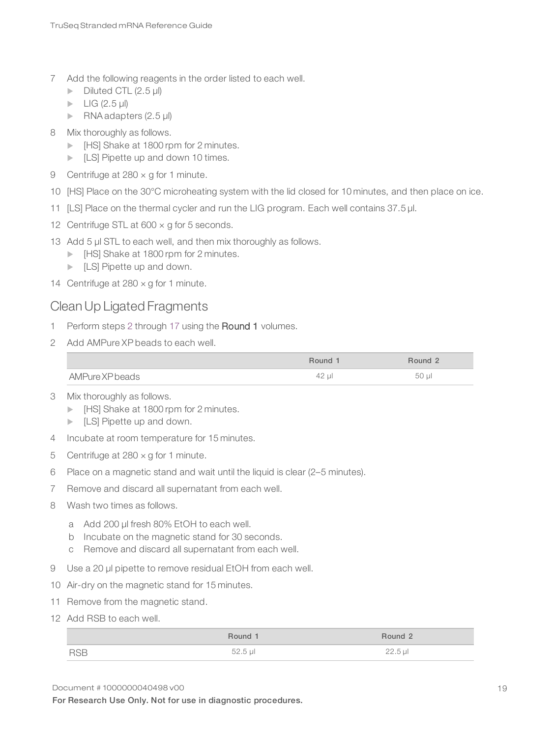- 7 Add the following reagents in the order listed to each well.
	- $\triangleright$  Diluted CTL (2.5 µl)
	- $\blacktriangleright$  LIG (2.5 µl)
	- RNA adapters  $(2.5 \mu I)$
- 8 Mix thoroughly as follows.
	- **IF IT IT IT SHAKE AT 1800 rpm for 2 minutes.**
	- $\blacktriangleright$  [LS] Pipette up and down 10 times.
- 9 Centrifuge at 280 x g for 1 minute.
- 10 [HS] Place on the 30°C microheating system with the lid closed for 10 minutes, and then place on ice.
- 11 [LS] Place on the thermal cycler and run the LIG program. Each well contains 37.5 µl.
- 12 Centrifuge STL at  $600 \times g$  for 5 seconds.
- 13 Add 5 µl STL to each well, and then mix thoroughly as follows.
	- **IF IT All Shake at 1800 rpm for 2 minutes.**
	- $\blacktriangleright$  [LS] Pipette up and down.
- 14 Centrifuge at  $280 \times g$  for 1 minute.

### CleanUp Ligated Fragments

- <span id="page-21-0"></span>1 Perform steps [2](#page-21-0) through [17](#page-22-1) using the Round 1 volumes.
- 2 Add AMPure XP beads to each well.

|                 | Round 1 | Round 2    |
|-----------------|---------|------------|
| AMPure XP beads | 42 µl   | $50$ $\mu$ |

- 3 Mix thoroughly as follows.
	- **IF IT Also Find Asset ISO** Form for 2 minutes.
	- $\blacktriangleright$  [LS] Pipette up and down.
- 4 Incubate at room temperature for 15 minutes.
- 5 Centrifuge at  $280 \times g$  for 1 minute.
- 6 Place on a magnetic stand and wait until the liquid is clear (2–5 minutes).
- 7 Remove and discard all supernatant from each well.
- 8 Wash two times as follows.
	- a Add 200 µl fresh 80% EtOH to each well.
	- b Incubate on the magnetic stand for 30 seconds.
	- c Remove and discard all supernatant from each well.
- 9 Use a 20 µl pipette to remove residual EtOH from each well.
- 10 Air-dry on the magnetic stand for 15 minutes.
- 11 Remove from the magnetic stand.
- 12 Add RSB to each well.

|            | Round 1 | Round 2   |
|------------|---------|-----------|
| <b>RSP</b> | 52.5 µl | $22.5$ µl |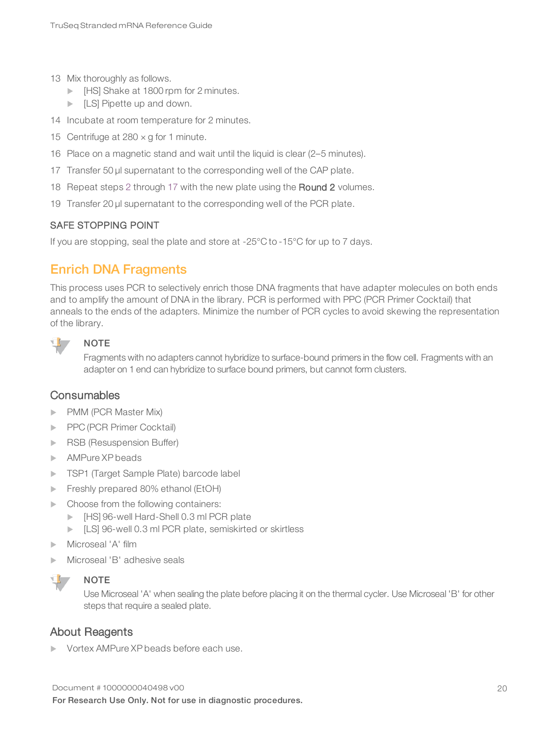- 13 Mix thoroughly as follows.
	- **IF IT All Shake at 1800 rpm for 2 minutes.**
	- $\blacktriangleright$  [LS] Pipette up and down.
- 14 Incubate at room temperature for 2 minutes.
- 15 Centrifuge at  $280 \times g$  for 1 minute.
- <span id="page-22-1"></span>16 Place on a magnetic stand and wait until the liquid is clear (2–5 minutes).
- 17 Transfer 50 µl supernatant to the corresponding well of the CAP plate.
- 18 Repeat steps [2](#page-21-0) through [17](#page-22-1) with the new plate using the Round 2 volumes.
- 19 Transfer 20 µl supernatant to the corresponding well of the PCR plate.

### SAFE STOPPING POINT

<span id="page-22-0"></span>If you are stopping, seal the plate and store at -25°C to -15°C for up to 7 days.

### Enrich DNA Fragments

This process uses PCR to selectively enrich those DNA fragments that have adapter molecules on both ends and to amplify the amount of DNA in the library. PCR is performed with PPC (PCR Primer Cocktail) that anneals to the ends of the adapters. Minimize the number of PCR cycles to avoid skewing the representation of the library.

### $\mathbf{I}$  , **NOTE**

Fragments with no adapters cannot hybridize to surface-bound primers in the flow cell. Fragments with an adapter on 1 end can hybridize to surface bound primers, but cannot form clusters.

### **Consumables**

- **PMM (PCR Master Mix)**
- PPC (PCR Primer Cocktail)
- RSB (Resuspension Buffer)
- AMPure XP beads
- **TSP1** (Target Sample Plate) barcode label
- $\blacktriangleright$  Freshly prepared 80% ethanol (EtOH)
- $\blacktriangleright$  Choose from the following containers:
	- **IF All Hard-Shell 0.3 ml PCR plate**
	- Example: ILS] 96-well 0.3 ml PCR plate, semiskirted or skirtless
- Microseal 'A' film
- Microseal 'B' adhesive seals



### **NOTE**

Use Microseal 'A' when sealing the plate before placing it on the thermal cycler. Use Microseal 'B' for other steps that require a sealed plate.

### About Reagents

Vortex AMPure XP beads before each use.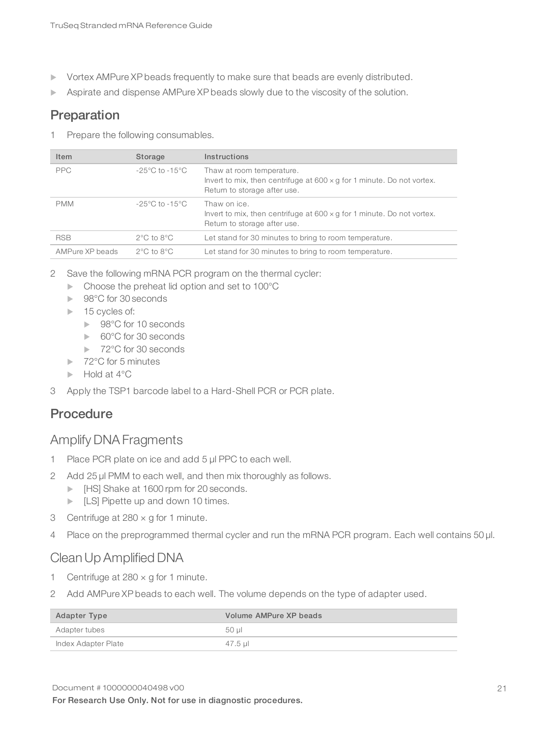- vortex AMPure XP beads frequently to make sure that beads are evenly distributed.
- **EXECT** Aspirate and dispense AMPure XP beads slowly due to the viscosity of the solution.

### Preparation

1 Prepare the following consumables.

| Item            | Storage                            | Instructions                                                                                                                               |
|-----------------|------------------------------------|--------------------------------------------------------------------------------------------------------------------------------------------|
| <b>PPC</b>      | $-25^{\circ}$ C to $-15^{\circ}$ C | Thaw at room temperature.<br>Invert to mix, then centrifuge at $600 \times g$ for 1 minute. Do not vortex.<br>Return to storage after use. |
| <b>PMM</b>      | $-25^{\circ}$ C to $-15^{\circ}$ C | Thaw on ice.<br>Invert to mix, then centrifuge at $600 \times g$ for 1 minute. Do not vortex.<br>Return to storage after use.              |
| <b>RSB</b>      | $2^{\circ}$ C to $8^{\circ}$ C     | Let stand for 30 minutes to bring to room temperature.                                                                                     |
| AMPure XP beads | $2^{\circ}$ C to $8^{\circ}$ C     | Let stand for 30 minutes to bring to room temperature.                                                                                     |

- 2 Save the following mRNA PCR program on the thermal cycler:
	- $\blacktriangleright$  Choose the preheat lid option and set to 100°C
	- ▶ 98°C for 30 seconds
	- $\blacktriangleright$  15 cycles of:
		- ▶ 98°C for 10 seconds
		- ► 60°C for 30 seconds
		- ▶ 72°C for 30 seconds
	- $\blacktriangleright$  72°C for 5 minutes
	- $\blacktriangleright$  Hold at 4 $^{\circ}$ C
- 3 Apply the TSP1 barcode label to a Hard-Shell PCR or PCR plate.

# Procedure

### Amplify DNA Fragments

- 1 Place PCR plate on ice and add 5 μl PPC to each well.
- 2 Add 25 µl PMM to each well, and then mix thoroughly as follows.
	- **IF INSTER 1600 rpm for 20 seconds.**
	- $\blacktriangleright$  [LS] Pipette up and down 10 times.
- 3 Centrifuge at 280 × g for 1 minute.
- 4 Place on the preprogrammed thermal cycler and run the mRNA PCR program. Each well contains 50 µl.

### CleanUp Amplified DNA

- 1 Centrifuge at  $280 \times g$  for 1 minute.
- 2 Add AMPure XP beads to each well. The volume depends on the type of adapter used.

| Adapter Type        | Volume AMPure XP beads |
|---------------------|------------------------|
| Adapter tubes       | .50 ul                 |
| Index Adapter Plate | 47.5 ul                |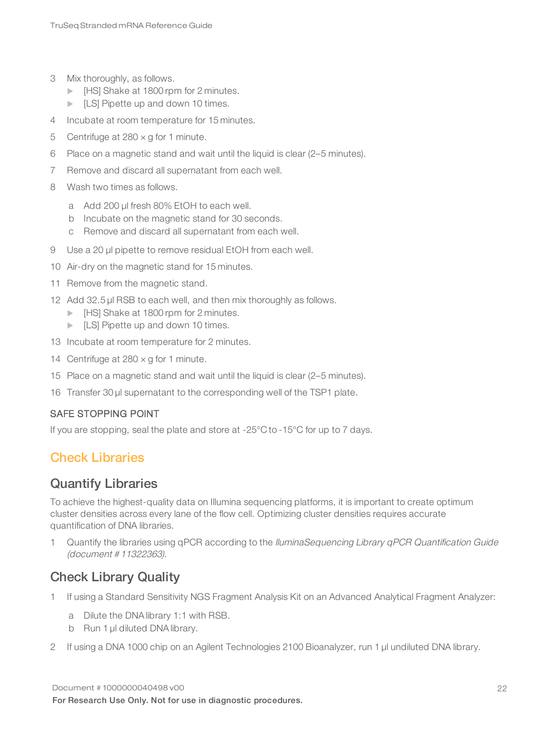- 3 Mix thoroughly, as follows.
	- **IF INSTER 1800 rpm for 2 minutes.**
	- $\blacktriangleright$  [LS] Pipette up and down 10 times.
- 4 Incubate at room temperature for 15 minutes.
- 5 Centrifuge at  $280 \times g$  for 1 minute.
- 6 Place on a magnetic stand and wait until the liquid is clear (2–5 minutes).
- 7 Remove and discard all supernatant from each well.
- 8 Wash two times as follows.
	- a Add 200 ul fresh 80% EtOH to each well.
	- b Incubate on the magnetic stand for 30 seconds.
	- c Remove and discard all supernatant from each well.
- 9 Use a 20 µl pipette to remove residual EtOH from each well.
- 10 Air-dry on the magnetic stand for 15 minutes.
- 11 Remove from the magnetic stand.
- 12 Add 32.5 µl RSB to each well, and then mix thoroughly as follows.
	- **IF IT All Shake at 1800 rpm for 2 minutes.**
	- $\blacktriangleright$  [LS] Pipette up and down 10 times.
- 13 Incubate at room temperature for 2 minutes.
- 14 Centrifuge at  $280 \times g$  for 1 minute.
- 15 Place on a magnetic stand and wait until the liquid is clear (2–5 minutes).
- 16 Transfer 30 µl supernatant to the corresponding well of the TSP1 plate.

### SAFE STOPPING POINT

<span id="page-24-0"></span>If you are stopping, seal the plate and store at -25°C to -15°C for up to 7 days.

### Check Libraries

### Quantify Libraries

To achieve the highest-quality data on Illumina sequencing platforms, it is important to create optimum cluster densities across every lane of the flow cell. Optimizing cluster densities requires accurate quantification of DNA libraries.

1 Quantify the libraries using qPCR according to the *lluminaSequencing Library qPCR Quantification Guide* (document # 11322363).

### Check Library Quality

- 1 If using a Standard Sensitivity NGS Fragment Analysis Kit on an Advanced Analytical Fragment Analyzer:
	- a Dilute the DNA library 1:1 with RSB.
	- b Run 1 µl diluted DNA library.
- 2 If using a DNA 1000 chip on an Agilent Technologies 2100 Bioanalyzer, run 1 µl undiluted DNA library.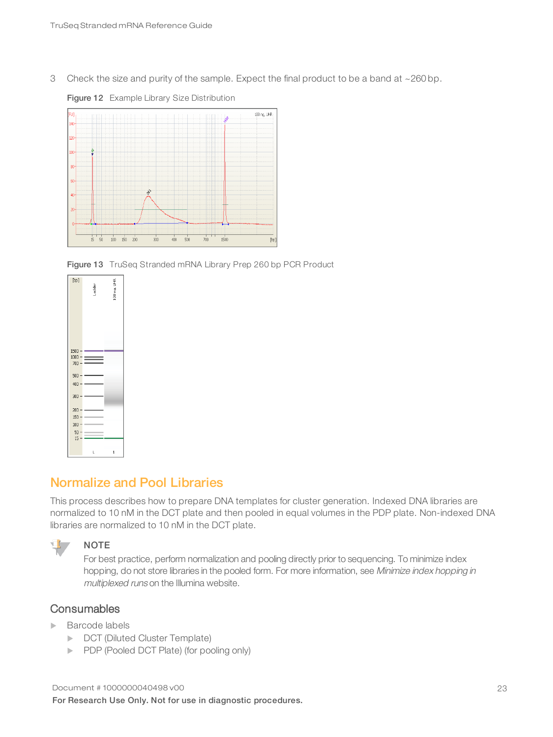3 Check the size and purity of the sample. Expect the final product to be a band at  $\sim$  260 bp.



Figure 12 Example Library Size Distribution

Figure 13 TruSeq Stranded mRNA Library Prep 260 bp PCR Product

| [bp]         | Ladder | 100 nq. UHR |
|--------------|--------|-------------|
| $1500 -$     |        |             |
| $1000 -$     |        |             |
| $700 -$      | $=$    |             |
| 500<br>400   |        |             |
| 300          |        |             |
| 200          |        |             |
| 150          |        |             |
| 100          |        |             |
| 50<br>$15 -$ |        |             |
|              | L      | ı           |

### <span id="page-25-0"></span>Normalize and Pool Libraries

This process describes how to prepare DNA templates for cluster generation. Indexed DNA libraries are normalized to 10 nM in the DCT plate and then pooled in equal volumes in the PDP plate. Non-indexed DNA libraries are normalized to 10 nM in the DCT plate.



### **NOTE**

For best practice, perform normalization and pooling directly prior to sequencing. To minimize index hopping, do not store libraries in the pooled form. For more information, see Minimize index hopping in multiplexed runs on the Illumina website.

### **Consumables**

- $\blacktriangleright$  Barcode labels
	- **DCT (Diluted Cluster Template)**
	- PDP (Pooled DCT Plate) (for pooling only)

Document # 1000000040498 v00 For Research Use Only. Not for use in diagnostic procedures.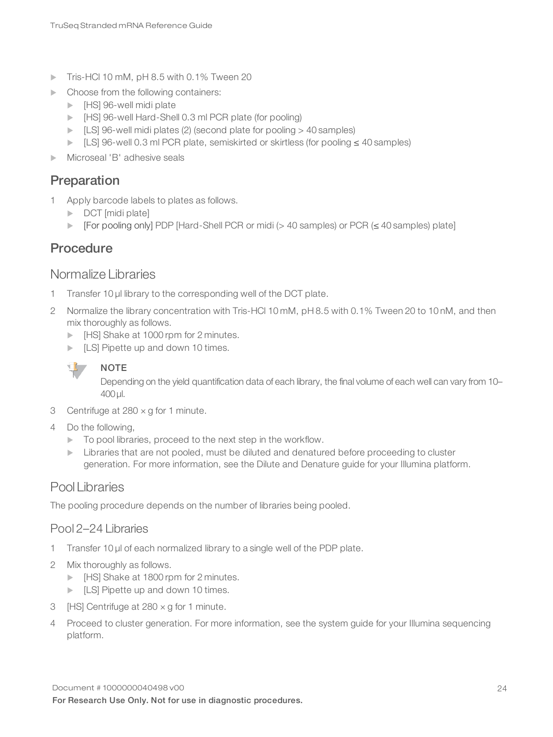- Tris-HCl 10 mM, pH 8.5 with 0.1% Tween 20
- $\blacktriangleright$  Choose from the following containers:
	- $\blacktriangleright$  [HS] 96-well midi plate
	- **EXECUTE:** [HS] 96-well Hard-Shell 0.3 ml PCR plate (for pooling)
	- $\blacktriangleright$  [LS] 96-well midi plates (2) (second plate for pooling  $>$  40 samples)
	- u [LS] 96-well 0.3 ml PCR plate, semiskirted or skirtless (for pooling ≤ 40 samples)
- Microseal 'B' adhesive seals

### Preparation

- 1 Apply barcode labels to plates as follows.
	- $\triangleright$  DCT [midi plate]
	- u [For pooling only] PDP [Hard-Shell PCR or midi (> 40 samples) or PCR (≤ 40 samples) plate]

### **Procedure**

### Normalize Libraries

- 1 Transfer 10 µl library to the corresponding well of the DCT plate.
- 2 Normalize the library concentration with Tris-HCl 10 mM, pH 8.5 with 0.1% Tween 20 to 10 nM, and then mix thoroughly as follows.
	- **IF IT IT IT SHAKE AT 1000 rpm for 2 minutes.**
	- $\blacktriangleright$  [LS] Pipette up and down 10 times.



### **NOTE** Depending on the yield quantification data of each library, the final volume of each well can vary from 10– 400 µl.

- 3 Centrifuge at 280 × g for 1 minute.
- 4 Do the following,
	- $\blacktriangleright$  To pool libraries, proceed to the next step in the workflow.
	- $\triangleright$  Libraries that are not pooled, must be diluted and denatured before proceeding to cluster generation. For more information, see the Dilute and Denature guide for your Illumina platform.

### Pool Libraries

The pooling procedure depends on the number of libraries being pooled.

### Pool 2–24 Libraries

- 1 Transfer 10 µl of each normalized library to a single well of the PDP plate.
- 2 Mix thoroughly as follows.
	- **IF IT Also Find Asset ISO** Form for 2 minutes.
	- $\blacktriangleright$  [LS] Pipette up and down 10 times.
- 3 [HS] Centrifuge at  $280 \times g$  for 1 minute.
- 4 Proceed to cluster generation. For more information, see the system guide for your Illumina sequencing platform.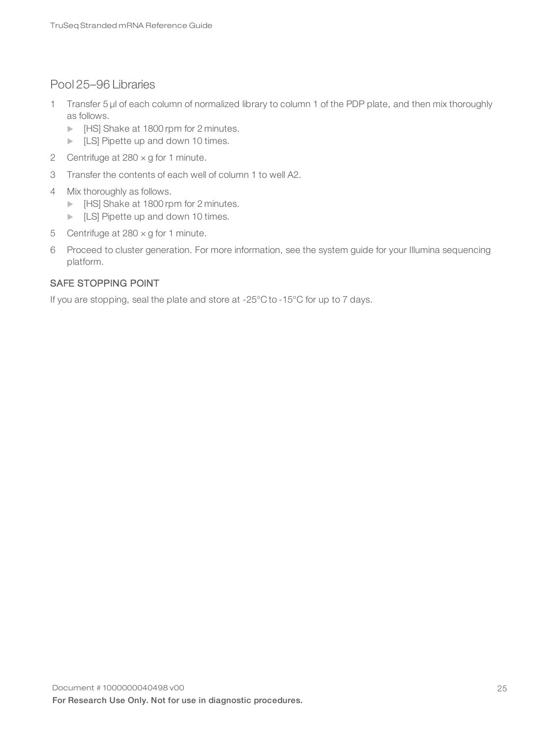### Pool 25–96 Libraries

- 1 Transfer 5 µl of each column of normalized library to column 1 of the PDP plate, and then mix thoroughly as follows.
	- **IF IT IT IT SHAKE AT 1800 rpm for 2 minutes.**
	- $\blacktriangleright$  [LS] Pipette up and down 10 times.
- 2 Centrifuge at  $280 \times g$  for 1 minute.
- 3 Transfer the contents of each well of column 1 to well A2.
- 4 Mix thoroughly as follows.
	- **INCE** [HS] Shake at 1800 rpm for 2 minutes.
	- $\blacktriangleright$  [LS] Pipette up and down 10 times.
- 5 Centrifuge at  $280 \times g$  for 1 minute.
- 6 Proceed to cluster generation. For more information, see the system guide for your Illumina sequencing platform.

### SAFE STOPPING POINT

If you are stopping, seal the plate and store at -25°C to -15°C for up to 7 days.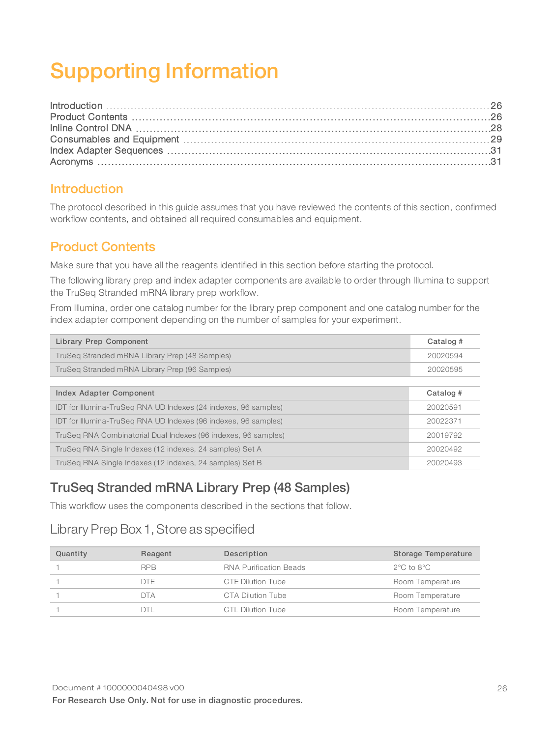# <span id="page-28-3"></span><span id="page-28-0"></span>Supporting Information

### <span id="page-28-1"></span>Introduction

The protocol described in this guide assumes that you have reviewed the contents of this section, confirmed workflow contents, and obtained all required consumables and equipment.

## <span id="page-28-2"></span>Product Contents

Make sure that you have all the reagents identified in this section before starting the protocol.

The following library prep and index adapter components are available to order through Illumina to support the TruSeq Stranded mRNA library prep workflow.

From Illumina, order one catalog number for the library prep component and one catalog number for the index adapter component depending on the number of samples for your experiment.

| Library Prep Component                                          | Catalog # |
|-----------------------------------------------------------------|-----------|
| TruSeg Stranded mRNA Library Prep (48 Samples)                  | 20020594  |
| TruSeg Stranded mRNA Library Prep (96 Samples)                  | 20020595  |
|                                                                 |           |
| Index Adapter Component                                         | Catalog # |
| IDT for Illumina-TruSeg RNA UD Indexes (24 indexes, 96 samples) | 20020591  |
| IDT for Illumina-TruSeg RNA UD Indexes (96 indexes, 96 samples) | 20022371  |
| TruSeg RNA Combinatorial Dual Indexes (96 indexes, 96 samples)  | 20019792  |
| TruSeg RNA Single Indexes (12 indexes, 24 samples) Set A        | 20020492  |
| TruSeg RNA Single Indexes (12 indexes, 24 samples) Set B        | 20020493  |

# TruSeq Stranded mRNA Library Prep (48 Samples)

This workflow uses the components described in the sections that follow.

# Library Prep Box 1, Store as specified

| Quantity | Reagent    | Description                   | Storage Temperature            |
|----------|------------|-------------------------------|--------------------------------|
|          | <b>RPB</b> | <b>RNA Purification Beads</b> | $2^{\circ}$ C to $8^{\circ}$ C |
|          | DTF.       | CTE Dilution Tube             | Room Temperature               |
|          | <b>DTA</b> | CTA Dilution Tube             | Room Temperature               |
|          | DTI        | CTL Dilution Tube             | Room Temperature               |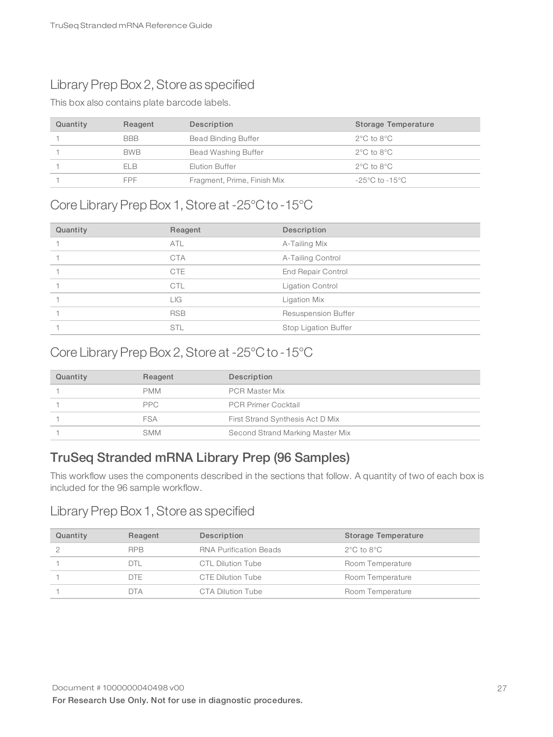# Library Prep Box 2, Store as specified

This box also contains plate barcode labels.

| Quantity | Reagent    | Description                 | Storage Temperature                |
|----------|------------|-----------------------------|------------------------------------|
|          | <b>BBB</b> | <b>Bead Binding Buffer</b>  | $2^{\circ}$ C to $8^{\circ}$ C     |
|          | <b>BWB</b> | Bead Washing Buffer         | $2^{\circ}$ C to $8^{\circ}$ C     |
|          | FI B       | Elution Buffer              | $2^{\circ}$ C to $8^{\circ}$ C     |
|          | <b>FPF</b> | Fragment, Prime, Finish Mix | $-25^{\circ}$ C to $-15^{\circ}$ C |

### Core Library Prep Box 1, Store at -25°C to -15°C

| Quantity | Reagent    | Description                |
|----------|------------|----------------------------|
|          | <b>ATL</b> | A-Tailing Mix              |
|          | <b>CTA</b> | A-Tailing Control          |
|          | <b>CTE</b> | End Repair Control         |
|          | <b>CTL</b> | Ligation Control           |
|          | LIG.       | Ligation Mix               |
|          | <b>RSB</b> | <b>Resuspension Buffer</b> |
|          | <b>STL</b> | Stop Ligation Buffer       |

## Core Library Prep Box 2, Store at -25°C to -15°C

| Quantity | Reagent    | Description                      |
|----------|------------|----------------------------------|
|          | <b>PMM</b> | <b>PCR Master Mix</b>            |
|          | PPC.       | <b>PCR Primer Cocktail</b>       |
|          | FSA        | First Strand Synthesis Act D Mix |
|          | SMM        | Second Strand Marking Master Mix |

# TruSeq Stranded mRNA Library Prep (96 Samples)

This workflow uses the components described in the sections that follow. A quantity of two of each box is included for the 96 sample workflow.

### Library Prep Box 1, Store as specified

| Quantity | Reagent    | Description                   | Storage Temperature            |
|----------|------------|-------------------------------|--------------------------------|
|          | <b>RPB</b> | <b>RNA Purification Beads</b> | $2^{\circ}$ C to $8^{\circ}$ C |
|          | DTL        | CTL Dilution Tube             | Room Temperature               |
|          | DTF.       | CTE Dilution Tube             | Room Temperature               |
|          | DTA        | CTA Dilution Tube             | Room Temperature               |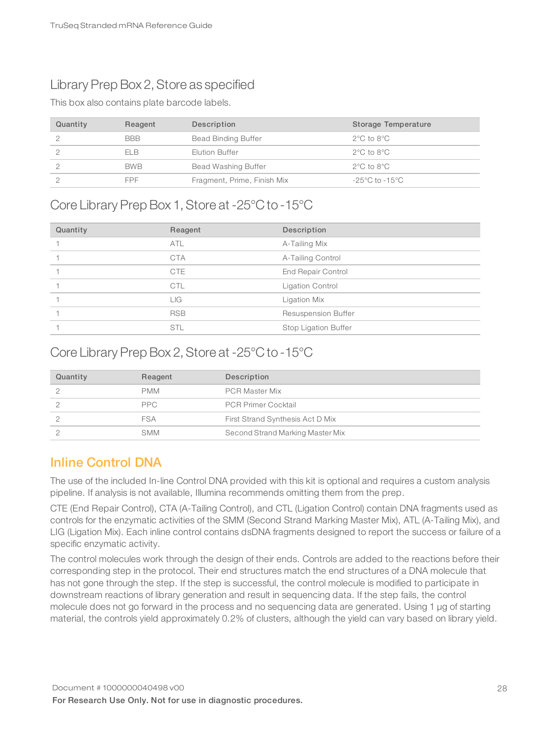# Library Prep Box 2, Store as specified

This box also contains plate barcode labels.

| Quantity | Reagent    | Description                 | Storage Temperature            |
|----------|------------|-----------------------------|--------------------------------|
|          | <b>BBB</b> | <b>Bead Binding Buffer</b>  | $2^{\circ}$ C to $8^{\circ}$ C |
|          | ELB        | Elution Buffer              | $2^{\circ}$ C to $8^{\circ}$ C |
|          | <b>BWB</b> | Bead Washing Buffer         | $2^{\circ}$ C to $8^{\circ}$ C |
|          | <b>FPF</b> | Fragment, Prime, Finish Mix | -25°C to -15°C                 |

## Core Library Prep Box 1, Store at -25°C to -15°C

| Quantity | Reagent    | Description                |
|----------|------------|----------------------------|
|          | <b>ATL</b> | A-Tailing Mix              |
|          | <b>CTA</b> | A-Tailing Control          |
|          | <b>CTE</b> | <b>End Repair Control</b>  |
|          | <b>CTL</b> | Ligation Control           |
|          | LIG        | Ligation Mix               |
|          | <b>RSB</b> | <b>Resuspension Buffer</b> |
|          | <b>STL</b> | Stop Ligation Buffer       |

# Core Library Prep Box 2, Store at -25°C to -15°C

| Quantity | Reagent    | Description                      |
|----------|------------|----------------------------------|
|          | <b>PMM</b> | <b>PCR Master Mix</b>            |
|          | PPC.       | <b>PCR Primer Cocktail</b>       |
|          | <b>FSA</b> | First Strand Synthesis Act D Mix |
|          | <b>SMM</b> | Second Strand Marking Master Mix |

### <span id="page-30-0"></span>Inline Control DNA

The use of the included In-line Control DNA provided with this kit is optional and requires a custom analysis pipeline. If analysis is not available, Illumina recommends omitting them from the prep.

CTE (End Repair Control), CTA (A-Tailing Control), and CTL (Ligation Control) contain DNA fragments used as controls for the enzymatic activities of the SMM (Second Strand Marking Master Mix), ATL (A-Tailing Mix), and LIG (Ligation Mix). Each inline control contains dsDNA fragments designed to report the success or failure of a specific enzymatic activity.

The control molecules work through the design of their ends. Controls are added to the reactions before their corresponding step in the protocol. Their end structures match the end structures of a DNA molecule that has not gone through the step. If the step is successful, the control molecule is modified to participate in downstream reactions of library generation and result in sequencing data. If the step fails, the control molecule does not go forward in the process and no sequencing data are generated. Using 1 µg of starting material, the controls yield approximately 0.2% of clusters, although the yield can vary based on library yield.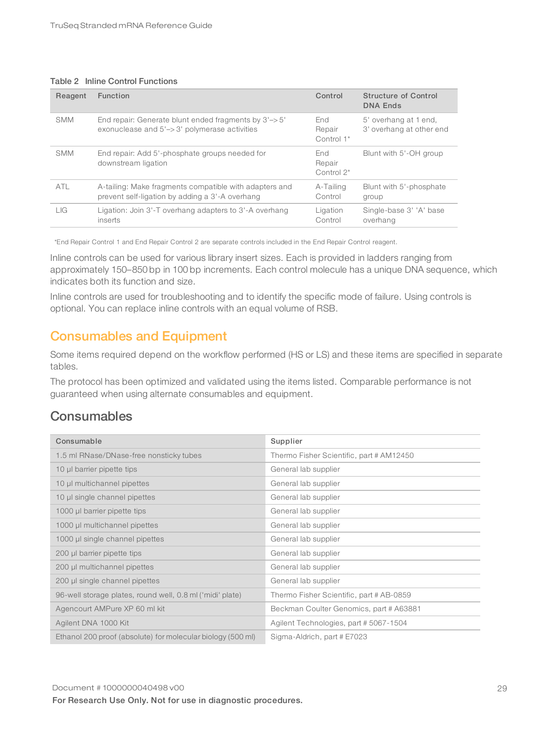### Table 2 Inline Control Functions

| Reagent    | Function                                                                                                  | Control                        | <b>Structure of Control</b><br><b>DNA Ends</b>    |
|------------|-----------------------------------------------------------------------------------------------------------|--------------------------------|---------------------------------------------------|
| <b>SMM</b> | End repair: Generate blunt ended fragments by 3'-> 5'<br>exonuclease and 5'-> 3' polymerase activities    | End<br>Repair<br>Control 1*    | 5' overhang at 1 end,<br>3' overhang at other end |
| <b>SMM</b> | End repair: Add 5'-phosphate groups needed for<br>downstream ligation                                     | End<br>Repair<br>Control $2^*$ | Blunt with 5'-OH group                            |
| ATL        | A-tailing: Make fragments compatible with adapters and<br>prevent self-ligation by adding a 3'-A overhang | A-Tailing<br>Control           | Blunt with 5'-phosphate<br>group                  |
| LIG        | Ligation: Join 3'-T overhang adapters to 3'-A overhang<br>inserts                                         | Ligation<br>Control            | Single-base 3' 'A' base<br>overhang               |

\*End Repair Control 1 and End Repair Control 2 are separate controls included in the End Repair Control reagent.

Inline controls can be used for various library insert sizes. Each is provided in ladders ranging from approximately 150–850 bp in 100 bp increments. Each control molecule has a unique DNA sequence, which indicates both its function and size.

Inline controls are used for troubleshooting and to identify the specific mode of failure. Using controls is optional. You can replace inline controls with an equal volume of RSB.

### <span id="page-31-0"></span>Consumables and Equipment

Some items required depend on the workflow performed (HS or LS) and these items are specified in separate tables.

The protocol has been optimized and validated using the items listed. Comparable performance is not guaranteed when using alternate consumables and equipment.

### **Consumables**

| Consumable                                                  | Supplier                                 |
|-------------------------------------------------------------|------------------------------------------|
| 1.5 ml RNase/DNase-free nonsticky tubes                     | Thermo Fisher Scientific, part # AM12450 |
| 10 µl barrier pipette tips                                  | General lab supplier                     |
| 10 µl multichannel pipettes                                 | General lab supplier                     |
| 10 µl single channel pipettes                               | General lab supplier                     |
| 1000 µl barrier pipette tips                                | General lab supplier                     |
| 1000 µl multichannel pipettes                               | General lab supplier                     |
| 1000 µl single channel pipettes                             | General lab supplier                     |
| 200 µl barrier pipette tips                                 | General lab supplier                     |
| 200 µl multichannel pipettes                                | General lab supplier                     |
| 200 µl single channel pipettes                              | General lab supplier                     |
| 96-well storage plates, round well, 0.8 ml ('midi' plate)   | Thermo Fisher Scientific, part # AB-0859 |
| Agencourt AMPure XP 60 ml kit                               | Beckman Coulter Genomics, part # A63881  |
| Agilent DNA 1000 Kit                                        | Agilent Technologies, part #5067-1504    |
| Ethanol 200 proof (absolute) for molecular biology (500 ml) | Sigma-Aldrich, part # E7023              |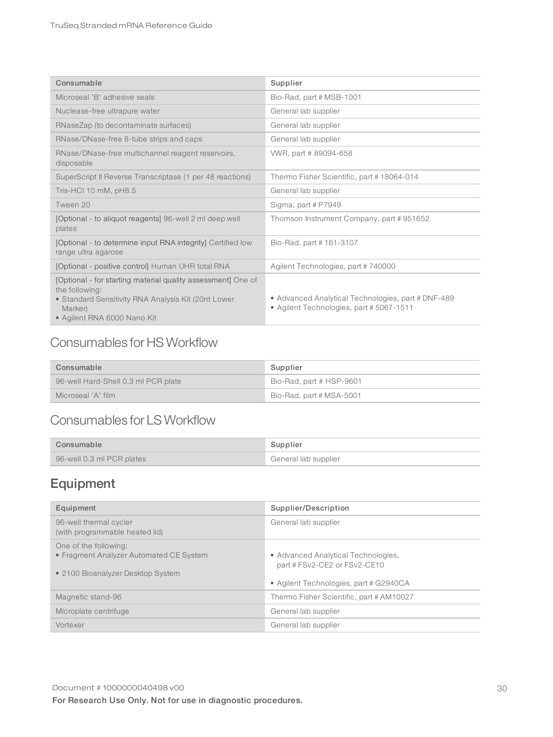| Consumable                                                                                                                                                                      | Supplier                                                                                       |
|---------------------------------------------------------------------------------------------------------------------------------------------------------------------------------|------------------------------------------------------------------------------------------------|
| Microseal 'B' adhesive seals                                                                                                                                                    | Bio-Rad, part # MSB-1001                                                                       |
| Nuclease-free ultrapure water                                                                                                                                                   | General lab supplier                                                                           |
| RNaseZap (to decontaminate surfaces)                                                                                                                                            | General lab supplier                                                                           |
| RNase/DNase-free 8-tube strips and caps                                                                                                                                         | General lab supplier                                                                           |
| RNase/DNase-free multichannel reagent reservoirs,<br>disposable                                                                                                                 | WWR, part #89094-658                                                                           |
| SuperScript II Reverse Transcriptase (1 per 48 reactions)                                                                                                                       | Thermo Fisher Scientific, part #18064-014                                                      |
| Tris-HCI 10 mM, pH8.5                                                                                                                                                           | General lab supplier                                                                           |
| Tween 20                                                                                                                                                                        | Sigma, part # P7949                                                                            |
| [Optional - to aliquot reagents] 96-well 2 ml deep well<br>plates                                                                                                               | Thomson Instrument Company, part #951652                                                       |
| [Optional - to determine input RNA integrity] Certified low<br>range ultra agarose                                                                                              | Bio-Rad, part #161-3107                                                                        |
| [Optional - positive control] Human UHR total RNA                                                                                                                               | Agilent Technologies, part #740000                                                             |
| [Optional - for starting material quality assessment] One of<br>the following:<br>• Standard Sensitivity RNA Analysis Kit (20nt Lower<br>Marker)<br>• Agilent RNA 6000 Nano Kit | • Advanced Analytical Technologies, part # DNF-489<br>• Agilent Technologies, part # 5067-1511 |

# Consumables for HS Workflow

| Consumable                          | Supplier                 |
|-------------------------------------|--------------------------|
| 96-well Hard-Shell 0.3 ml PCR plate | Bio-Rad, part # HSP-9601 |
| Microseal 'A' film                  | Bio-Rad, part # MSA-5001 |

# Consumables for LS Workflow

| Consumable                | Supplier             |
|---------------------------|----------------------|
| 96-well 0.3 ml PCR plates | General lab supplier |

# Equipment

| Equipment                                                                                             | Supplier/Description                                                                                          |
|-------------------------------------------------------------------------------------------------------|---------------------------------------------------------------------------------------------------------------|
| 96-well thermal cycler<br>(with programmable heated lid)                                              | General lab supplier                                                                                          |
| One of the following:<br>• Fragment Analyzer Automated CE System<br>• 2100 Bioanalyzer Desktop System | • Advanced Analytical Technologies,<br>part # FSv2-CE2 or FSv2-CE10<br>• Agilent Technologies, part # G2940CA |
| Magnetic stand-96                                                                                     | Thermo Fisher Scientific, part # AM10027                                                                      |
| Microplate centrifuge                                                                                 | General lab supplier                                                                                          |
| Vortexer                                                                                              | General lab supplier                                                                                          |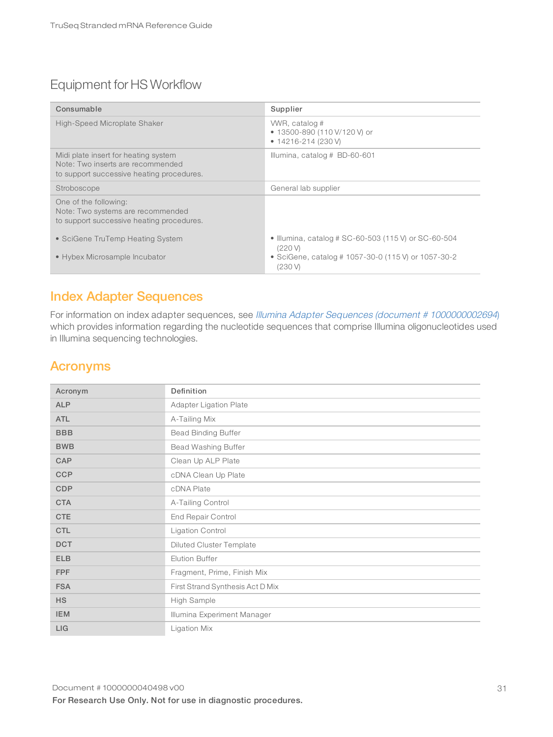# Equipment for HS Workflow

| Consumable                                                                                                             | Supplier                                                                      |
|------------------------------------------------------------------------------------------------------------------------|-------------------------------------------------------------------------------|
| High-Speed Microplate Shaker                                                                                           | WWR, catalog #<br>• 13500-890 (110 V/120 V) or<br>$\bullet$ 14216-214 (230 V) |
| Midi plate insert for heating system<br>Note: Two inserts are recommended<br>to support successive heating procedures. | Illumina, catalog # BD-60-601                                                 |
| Stroboscope                                                                                                            | General lab supplier                                                          |
| One of the following:<br>Note: Two systems are recommended<br>to support successive heating procedures.                |                                                                               |
| • SciGene TruTemp Heating System                                                                                       | • Illumina, catalog # SC-60-503 (115 V) or SC-60-504<br>$(220 \text{ V})$     |
| • Hybex Microsample Incubator                                                                                          | • SciGene, catalog # 1057-30-0 (115 V) or 1057-30-2<br>(230V)                 |

### <span id="page-33-0"></span>Index Adapter Sequences

For information on index adapter sequences, see Illumina Adapter Sequences (document # [1000000002694](https://support.illumina.com/downloads/illumina-customer-sequence-letter.html)) which provides information regarding the nucleotide sequences that comprise Illumina oligonucleotides used in Illumina sequencing technologies.

### <span id="page-33-1"></span>Acronyms

| Acronym    | Definition                       |
|------------|----------------------------------|
| <b>ALP</b> | Adapter Ligation Plate           |
| <b>ATL</b> | A-Tailing Mix                    |
| <b>BBB</b> | <b>Bead Binding Buffer</b>       |
| <b>BWB</b> | Bead Washing Buffer              |
| CAP        | Clean Up ALP Plate               |
| <b>CCP</b> | cDNA Clean Up Plate              |
| <b>CDP</b> | cDNA Plate                       |
| <b>CTA</b> | A-Tailing Control                |
| <b>CTE</b> | <b>End Repair Control</b>        |
| <b>CTL</b> | <b>Ligation Control</b>          |
| <b>DCT</b> | <b>Diluted Cluster Template</b>  |
| <b>ELB</b> | <b>Elution Buffer</b>            |
| <b>FPF</b> | Fragment, Prime, Finish Mix      |
| <b>FSA</b> | First Strand Synthesis Act D Mix |
| <b>HS</b>  | High Sample                      |
| <b>IEM</b> | Illumina Experiment Manager      |
| LIG        | Ligation Mix                     |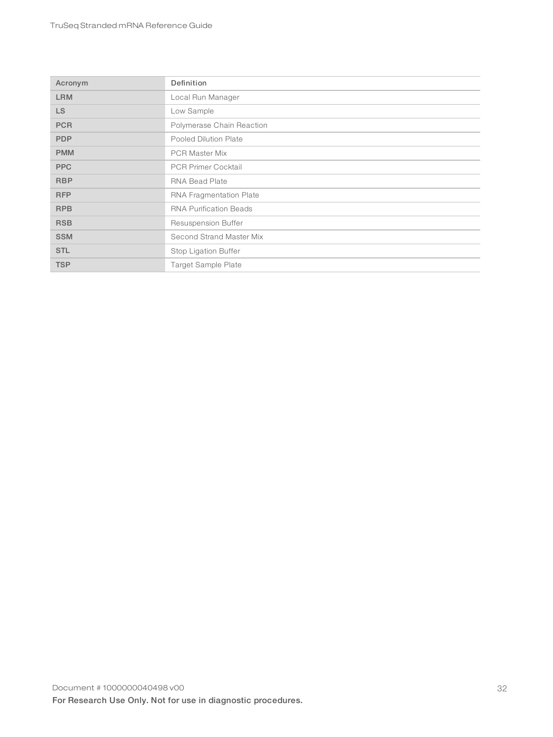| Acronym    | Definition                    |
|------------|-------------------------------|
| <b>LRM</b> | Local Run Manager             |
| LS.        | Low Sample                    |
| <b>PCR</b> | Polymerase Chain Reaction     |
| <b>PDP</b> | Pooled Dilution Plate         |
| <b>PMM</b> | <b>PCR Master Mix</b>         |
| <b>PPC</b> | <b>PCR Primer Cocktail</b>    |
| <b>RBP</b> | <b>RNA Bead Plate</b>         |
| <b>RFP</b> | RNA Fragmentation Plate       |
| <b>RPB</b> | <b>RNA Purification Beads</b> |
| <b>RSB</b> | Resuspension Buffer           |
| <b>SSM</b> | Second Strand Master Mix      |
| <b>STL</b> | Stop Ligation Buffer          |
| <b>TSP</b> | <b>Target Sample Plate</b>    |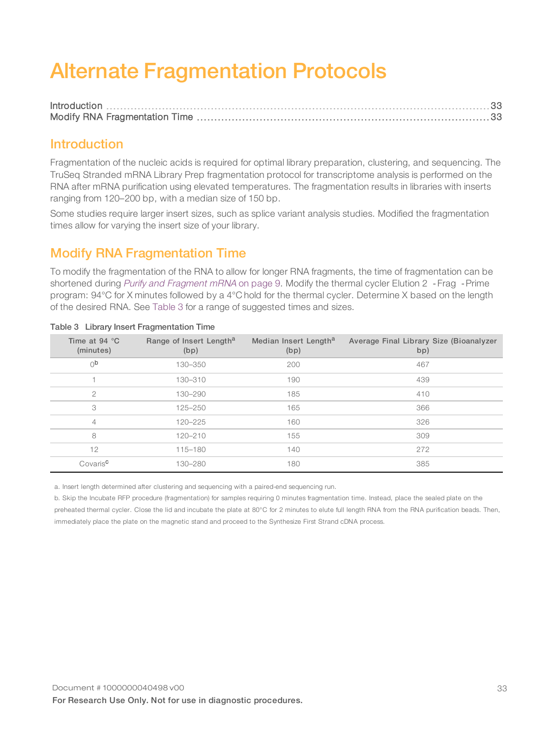# <span id="page-35-3"></span><span id="page-35-0"></span>Alternate Fragmentation Protocols

### <span id="page-35-1"></span>Introduction

Fragmentation of the nucleic acids is required for optimal library preparation, clustering, and sequencing. The TruSeq Stranded mRNA Library Prep fragmentation protocol for transcriptome analysis is performed on the RNA after mRNA purification using elevated temperatures. The fragmentation results in libraries with inserts ranging from 120–200 bp, with a median size of 150 bp.

Some studies require larger insert sizes, such as splice variant analysis studies. Modified the fragmentation times allow for varying the insert size of your library.

## <span id="page-35-2"></span>Modify RNA Fragmentation Time

To modify the fragmentation of the RNA to allow for longer RNA fragments, the time of fragmentation can be shortened during Purify and [Fragment](#page-11-2) mRNA on page 9. Modify the thermal cycler Elution 2 - Frag - Prime program: 94°C for X minutes followed by a 4°C hold for the thermal cycler. Determine X based on the length of the desired RNA. See [Table](#page-35-4) 3 for a range of suggested times and sizes.

| Time at 94 $^{\circ}$ C<br>(minutes) | Range of Insert Length <sup>a</sup><br>(bp) | Median Insert Length <sup>a</sup><br>(bp) | Average Final Library Size (Bioanalyzer<br>bp) |
|--------------------------------------|---------------------------------------------|-------------------------------------------|------------------------------------------------|
| 0 <sub>p</sub>                       | 130-350                                     | 200                                       | 467                                            |
|                                      | 130-310                                     | 190                                       | 439                                            |
| $\mathcal{P}$                        | 130-290                                     | 185                                       | 410                                            |
| 3                                    | 125-250                                     | 165                                       | 366                                            |
| $\overline{4}$                       | $120 - 225$                                 | 160                                       | 326                                            |
| 8                                    | 120-210                                     | 155                                       | 309                                            |
| 12                                   | 115-180                                     | 140                                       | 272                                            |
| Covaris <sup>c</sup>                 | 130-280                                     | 180                                       | 385                                            |

### <span id="page-35-4"></span>Table 3 Library Insert Fragmentation Time

a. Insert length determined after clustering and sequencing with a paired-end sequencing run.

b. Skip the Incubate RFP procedure (fragmentation) for samples requiring 0 minutes fragmentation time. Instead, place the sealed plate on the preheated thermal cycler. Close the lid and incubate the plate at 80°C for 2 minutes to elute full length RNA from the RNA purification beads. Then, immediately place the plate on the magnetic stand and proceed to the Synthesize First Strand cDNA process.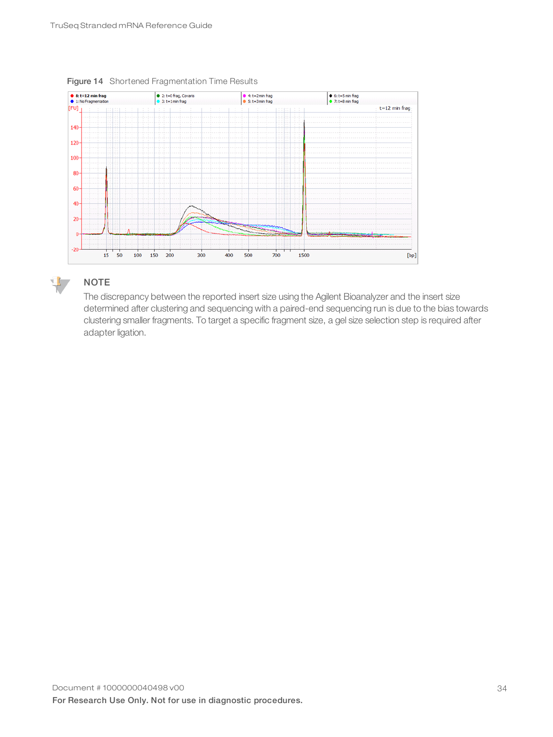

Figure 14 Shortened Fragmentation Time Results



### **NOTE**

The discrepancy between the reported insert size using the Agilent Bioanalyzer and the insert size determined after clustering and sequencing with a paired-end sequencing run is due to the bias towards clustering smaller fragments. To target a specific fragment size, a gel size selection step is required after adapter ligation.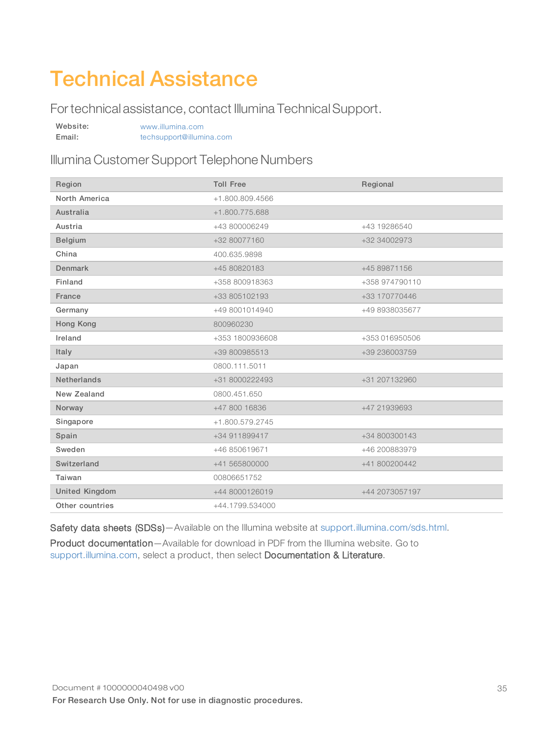# <span id="page-37-0"></span>Technical Assistance

For technical assistance, contact Illumina Technical Support.

| Website: | www.illumina.com         |  |
|----------|--------------------------|--|
| Email:   | techsupport@illumina.com |  |

## Illumina Customer Support Telephone Numbers

| Region                | <b>Toll Free</b> | Regional       |
|-----------------------|------------------|----------------|
| North America         | +1.800.809.4566  |                |
| Australia             | +1.800.775.688   |                |
| Austria               | +43 800006249    | +43 19286540   |
| Belgium               | +32 80077160     | +32 34002973   |
| China                 | 400.635.9898     |                |
| Denmark               | +45 80820183     | +45 89871156   |
| Finland               | +358 800918363   | +358 974790110 |
| France                | +33 805102193    | +33 170770446  |
| Germany               | +49 8001014940   | +49 8938035677 |
| Hong Kong             | 800960230        |                |
| Ireland               | +353 1800936608  | +353 016950506 |
| Italy                 | +39 800985513    | +39 236003759  |
| Japan                 | 0800.111.5011    |                |
| <b>Netherlands</b>    | +31 8000222493   | +31 207132960  |
| New Zealand           | 0800.451.650     |                |
| Norway                | +47 800 16836    | +47 21939693   |
| Singapore             | +1.800.579.2745  |                |
| Spain                 | +34 911899417    | +34 800300143  |
| Sweden                | +46 850619671    | +46 200883979  |
| Switzerland           | +41 565800000    | +41 800200442  |
| Taiwan                | 00806651752      |                |
| <b>United Kingdom</b> | +44 8000126019   | +44 2073057197 |
| Other countries       | +44.1799.534000  |                |

Safety data sheets (SDSs)-Available on the Illumina website at [support.illumina.com/sds.html.](http://support.illumina.com/sds.html)

Product documentation—Available for download in PDF from the Illumina website. Go to [support.illumina.com,](http://www.illumina.com/support.ilmn) select a product, then select Documentation & Literature.